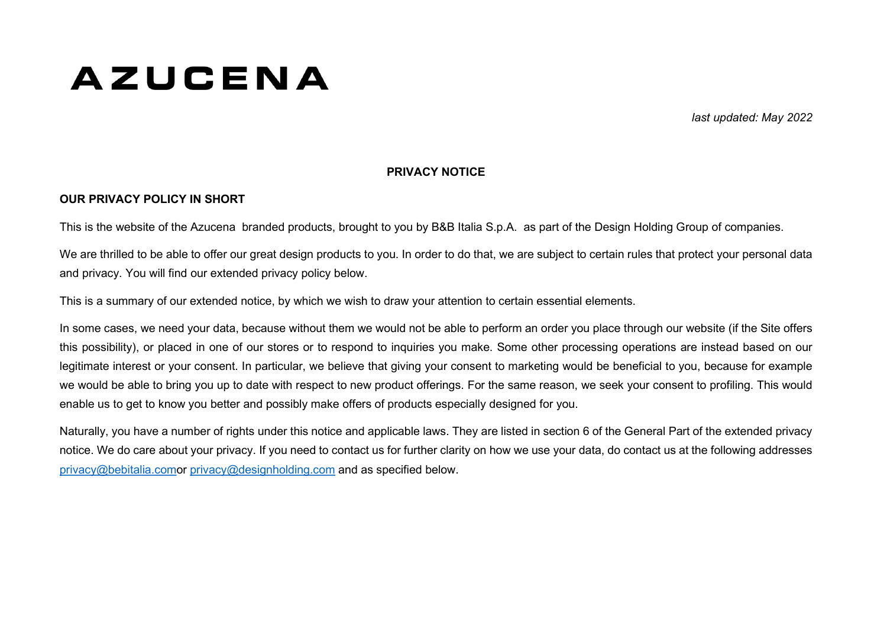# **AZUCENA**

last updated: May 2022

#### PRIVACY NOTICE

#### OUR PRIVACY POLICY IN SHORT

This is the website of the Azucena branded products, brought to you by B&B Italia S.p.A. as part of the Design Holding Group of companies.

We are thrilled to be able to offer our great design products to you. In order to do that, we are subject to certain rules that protect your personal data and privacy. You will find our extended privacy policy below.

This is a summary of our extended notice, by which we wish to draw your attention to certain essential elements.

In some cases, we need your data, because without them we would not be able to perform an order you place through our website (if the Site offers this possibility), or placed in one of our stores or to respond to inquiries you make. Some other processing operations are instead based on our legitimate interest or your consent. In particular, we believe that giving your consent to marketing would be beneficial to you, because for example we would be able to bring you up to date with respect to new product offerings. For the same reason, we seek your consent to profiling. This would enable us to get to know you better and possibly make offers of products especially designed for you.

Naturally, you have a number of rights under this notice and applicable laws. They are listed in section 6 of the General Part of the extended privacy notice. We do care about your privacy. If you need to contact us for further clarity on how we use your data, do contact us at the following addresses privacy@bebitalia.comor privacy@designholding.com and as specified below.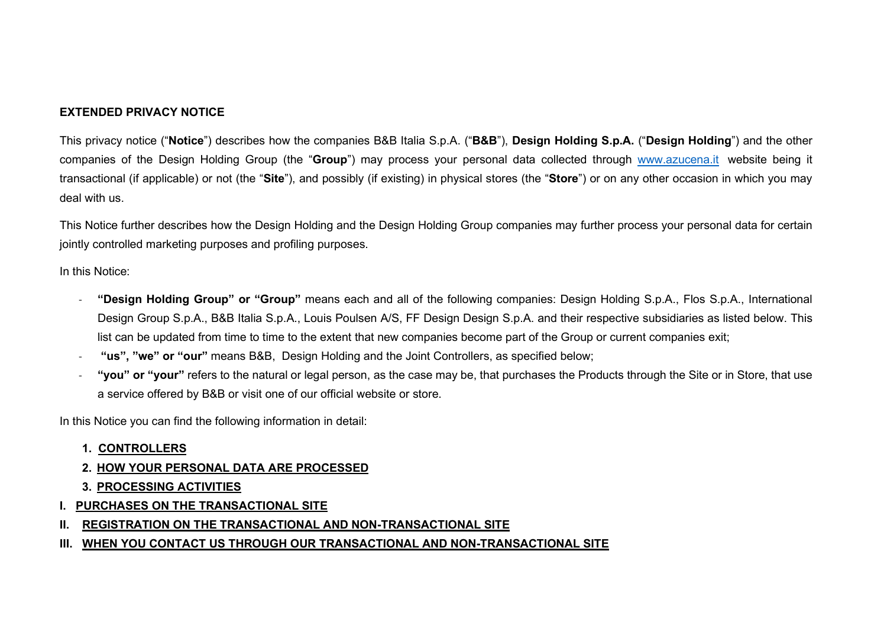## EXTENDED PRIVACY NOTICE

This privacy notice ("Notice") describes how the companies B&B Italia S.p.A. ("B&B"). Design Holding S.p.A. ("Design Holding") and the other companies of the Design Holding Group (the "Group") may process your personal data collected through www.azucena.it website being it transactional (if applicable) or not (the "Site"), and possibly (if existing) in physical stores (the "Store") or on any other occasion in which you may deal with us.

This Notice further describes how the Design Holding and the Design Holding Group companies may further process your personal data for certain jointly controlled marketing purposes and profiling purposes.

In this Notice:

- "Design Holding Group" or "Group" means each and all of the following companies: Design Holding S.p.A., Flos S.p.A., International Design Group S.p.A., B&B Italia S.p.A., Louis Poulsen A/S, FF Design Design S.p.A. and their respective subsidiaries as listed below. This list can be updated from time to time to the extent that new companies become part of the Group or current companies exit;
- "us", "we" or "our" means B&B. Design Holding and the Joint Controllers, as specified below:
- "vou" or "vour" refers to the natural or legal person, as the case may be, that purchases the Products through the Site or in Store, that use a service offered by B&B or visit one of our official website or store.

In this Notice you can find the following information in detail:

- 1. CONTROLLERS
- 2. HOW YOUR PERSONAL DATA ARE PROCESSED
- 3. PROCESSING ACTIVITIES
- I. PURCHASES ON THE TRANSACTIONAL SITE
- II. REGISTRATION ON THE TRANSACTIONAL AND NON-TRANSACTIONAL SITE
- III. WHEN YOU CONTACT US THROUGH OUR TRANSACTIONAL AND NON-TRANSACTIONAL SITE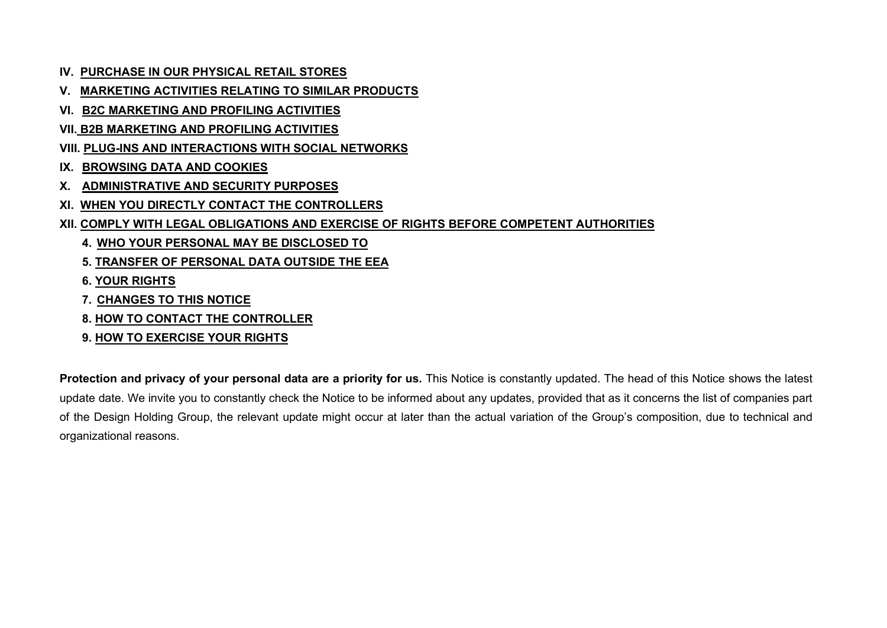- IV. PURCHASE IN OUR PHYSICAL RETAIL STORES
- V. MARKETING ACTIVITIES RELATING TO SIMILAR PRODUCTS
- VI. B2C MARKETING AND PROFILING ACTIVITIES
- VII. B2B MARKETING AND PROFILING ACTIVITIES
- VIII. PLUG-INS AND INTERACTIONS WITH SOCIAL NETWORKS
- IX. BROWSING DATA AND COOKIES
- X. ADMINISTRATIVE AND SECURITY PURPOSES
- XI. WHEN YOU DIRECTLY CONTACT THE CONTROLLERS
- XII. COMPLY WITH LEGAL OBLIGATIONS AND EXERCISE OF RIGHTS BEFORE COMPETENT AUTHORITIES
	- 4. WHO YOUR PERSONAL MAY BE DISCLOSED TO
	- 5. TRANSFER OF PERSONAL DATA OUTSIDE THE EEA
	- 6. YOUR RIGHTS
	- 7. CHANGES TO THIS NOTICE
	- 8. HOW TO CONTACT THE CONTROLLER
	- 9. HOW TO EXERCISE YOUR RIGHTS

Protection and privacy of your personal data are a priority for us. This Notice is constantly updated. The head of this Notice shows the latest update date. We invite you to constantly check the Notice to be informed about any updates, provided that as it concerns the list of companies part of the Design Holding Group, the relevant update might occur at later than the actual variation of the Group's composition, due to technical and organizational reasons.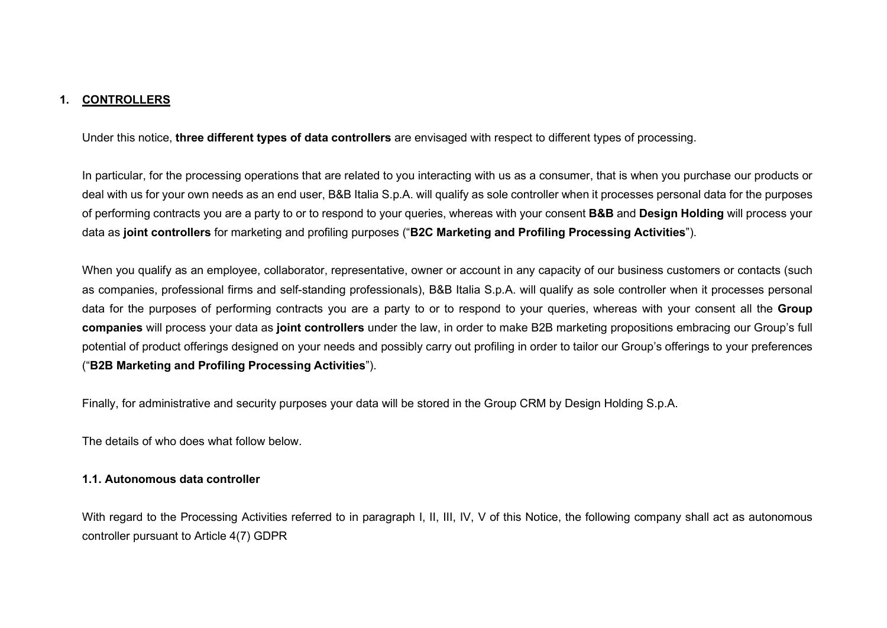#### 1. CONTROLLERS

Under this notice, three different types of data controllers are envisaged with respect to different types of processing.

In particular, for the processing operations that are related to you interacting with us as a consumer, that is when you purchase our products or deal with us for your own needs as an end user, B&B Italia S.p.A. will qualify as sole controller when it processes personal data for the purposes of performing contracts you are a party to or to respond to your queries, whereas with your consent **B&B** and **Design Holding** will process your data as joint controllers for marketing and profiling purposes ("B2C Marketing and Profiling Processing Activities").

When you qualify as an employee, collaborator, representative, owner or account in any capacity of our business customers or contacts (such as companies, professional firms and self-standing professionals), B&B Italia S.p.A. will qualify as sole controller when it processes personal data for the purposes of performing contracts you are a party to or to respond to your queries, whereas with your consent all the Group companies will process your data as joint controllers under the law, in order to make B2B marketing propositions embracing our Group's full potential of product offerings designed on your needs and possibly carry out profiling in order to tailor our Group's offerings to your preferences ("B2B Marketing and Profiling Processing Activities").

Finally, for administrative and security purposes your data will be stored in the Group CRM by Design Holding S.p.A.

The details of who does what follow below.

#### 1.1. Autonomous data controller

With regard to the Processing Activities referred to in paragraph I, II, III, IV, V of this Notice, the following company shall act as autonomous controller pursuant to Article 4(7) GDPR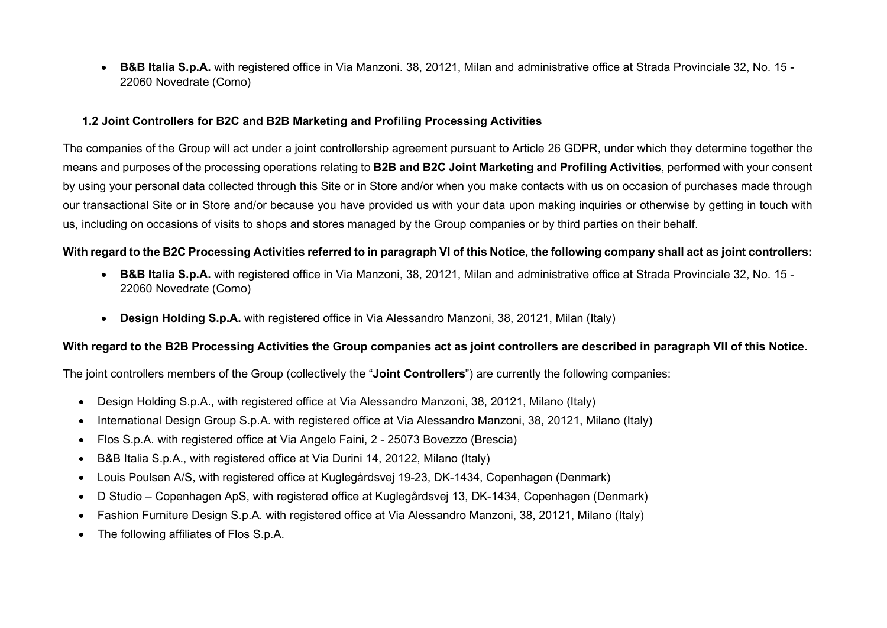• B&B Italia S.p.A. with registered office in Via Manzoni. 38, 20121. Milan and administrative office at Strada Provinciale 32, No. 15 -22060 Novedrate (Como)

#### 1.2 Joint Controllers for B2C and B2B Marketing and Profiling Processing Activities

The companies of the Group will act under a joint controllership agreement pursuant to Article 26 GDPR, under which they determine together the means and purposes of the processing operations relating to B2B and B2C Joint Marketing and Profiling Activities, performed with your consent by using your personal data collected through this Site or in Store and/or when you make contacts with us on occasion of purchases made through our transactional Site or in Store and/or because you have provided us with your data upon making inquiries or otherwise by getting in touch with us, including on occasions of visits to shops and stores managed by the Group companies or by third parties on their behalf.

#### With regard to the B2C Processing Activities referred to in paragraph VI of this Notice, the following company shall act as joint controllers:

- B&B Italia S.p.A. with registered office in Via Manzoni, 38, 20121, Milan and administrative office at Strada Provinciale 32, No. 15 -22060 Novedrate (Como)
- Design Holding S.p.A. with registered office in Via Alessandro Manzoni, 38, 20121, Milan (Italy)

#### With regard to the B2B Processing Activities the Group companies act as joint controllers are described in paragraph VII of this Notice.

The joint controllers members of the Group (collectively the "**Joint Controllers**") are currently the following companies:

- Design Holding S.p.A., with registered office at Via Alessandro Manzoni, 38, 20121, Milano (Italy)
- International Design Group S.p.A. with registered office at Via Alessandro Manzoni, 38, 20121, Milano (Italy)
- Flos S.p.A. with registered office at Via Angelo Faini, 2 25073 Bovezzo (Brescia)
- B&B Italia S.p.A., with registered office at Via Durini 14, 20122, Milano (Italy)
- Louis Poulsen A/S, with registered office at Kuglegårdsvej 19-23, DK-1434, Copenhagen (Denmark)
- D Studio Copenhagen ApS, with registered office at Kuglegårdsvej 13, DK-1434, Copenhagen (Denmark)
- Fashion Furniture Design S.p.A. with registered office at Via Alessandro Manzoni, 38, 20121, Milano (Italy)
- The following affiliates of Flos S.p.A.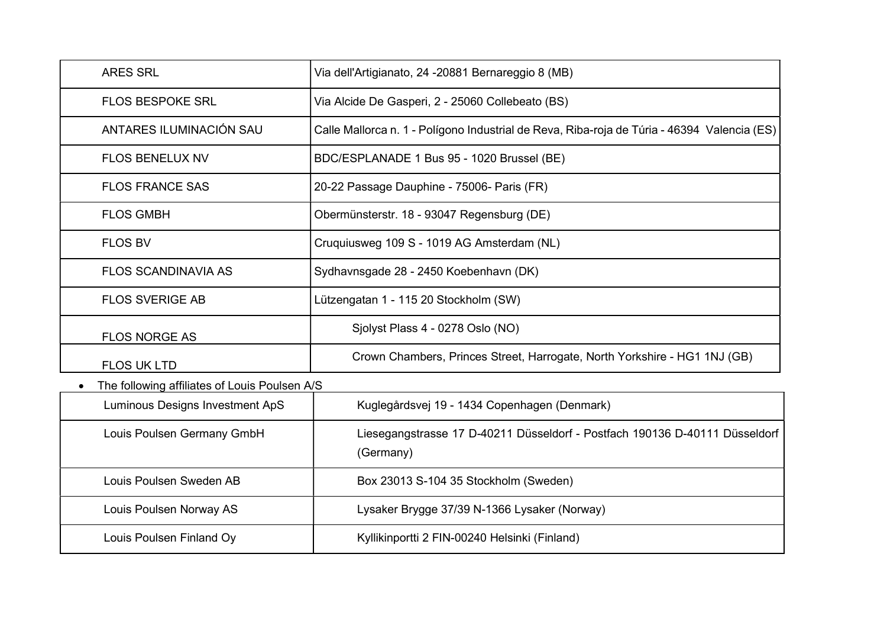| <b>ARES SRL</b>                               | Via dell'Artigianato, 24 -20881 Bernareggio 8 (MB)                                          |
|-----------------------------------------------|---------------------------------------------------------------------------------------------|
| <b>FLOS BESPOKE SRL</b>                       | Via Alcide De Gasperi, 2 - 25060 Collebeato (BS)                                            |
| ANTARES ILUMINACIÓN SAU                       | Calle Mallorca n. 1 - Polígono Industrial de Reva, Riba-roja de Túria - 46394 Valencia (ES) |
| <b>FLOS BENELUX NV</b>                        | BDC/ESPLANADE 1 Bus 95 - 1020 Brussel (BE)                                                  |
| <b>FLOS FRANCE SAS</b>                        | 20-22 Passage Dauphine - 75006- Paris (FR)                                                  |
| <b>FLOS GMBH</b>                              | Obermünsterstr. 18 - 93047 Regensburg (DE)                                                  |
| <b>FLOS BV</b>                                | Cruquiusweg 109 S - 1019 AG Amsterdam (NL)                                                  |
| <b>FLOS SCANDINAVIA AS</b>                    | Sydhavnsgade 28 - 2450 Koebenhavn (DK)                                                      |
| <b>FLOS SVERIGE AB</b>                        | Lützengatan 1 - 115 20 Stockholm (SW)                                                       |
| <b>FLOS NORGE AS</b>                          | Sjolyst Plass 4 - 0278 Oslo (NO)                                                            |
| <b>FLOS UK LTD</b>                            | Crown Chambers, Princes Street, Harrogate, North Yorkshire - HG1 1NJ (GB)                   |
| The following affiliates of Louis Poulsen A/S |                                                                                             |
| <b>Luminous Designs Investment ApS</b>        | Kuglegårdsvej 19 - 1434 Copenhagen (Denmark)                                                |
| Louis Poulsen Germany GmbH                    | Liesegangstrasse 17 D-40211 Düsseldorf - Postfach 190136 D-40111 Düsseldorf<br>(Germany)    |
| Louis Poulsen Sweden AB                       | Box 23013 S-104 35 Stockholm (Sweden)                                                       |
| Louis Poulsen Norway AS                       | Lysaker Brygge 37/39 N-1366 Lysaker (Norway)                                                |
| Louis Poulsen Finland Oy                      | Kyllikinportti 2 FIN-00240 Helsinki (Finland)                                               |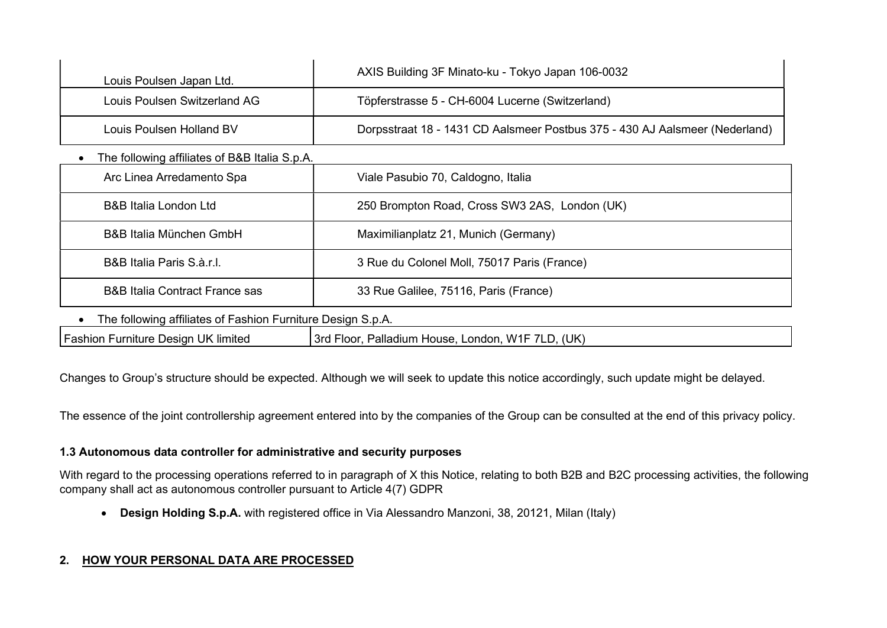| Louis Poulsen Japan Ltd.                                    | AXIS Building 3F Minato-ku - Tokyo Japan 106-0032                           |  |  |
|-------------------------------------------------------------|-----------------------------------------------------------------------------|--|--|
| Louis Poulsen Switzerland AG                                | Töpferstrasse 5 - CH-6004 Lucerne (Switzerland)                             |  |  |
| Louis Poulsen Holland BV                                    | Dorpsstraat 18 - 1431 CD Aalsmeer Postbus 375 - 430 AJ Aalsmeer (Nederland) |  |  |
| The following affiliates of B&B Italia S.p.A.               |                                                                             |  |  |
| Arc Linea Arredamento Spa                                   | Viale Pasubio 70, Caldogno, Italia                                          |  |  |
| <b>B&amp;B Italia London Ltd</b>                            | 250 Brompton Road, Cross SW3 2AS, London (UK)                               |  |  |
| <b>B&amp;B Italia München GmbH</b>                          | Maximilianplatz 21, Munich (Germany)                                        |  |  |
| B&B Italia Paris S.à.r.l.                                   | 3 Rue du Colonel Moll, 75017 Paris (France)                                 |  |  |
| <b>B&amp;B Italia Contract France sas</b>                   | 33 Rue Galilee, 75116, Paris (France)                                       |  |  |
| The following affiliates of Fashion Furniture Design S.p.A. |                                                                             |  |  |
|                                                             |                                                                             |  |  |

Fashion Furniture Design UK limited 3rd Floor, Palladium House, London, W1F 7LD, (UK)

Changes to Group's structure should be expected. Although we will seek to update this notice accordingly, such update might be delayed.

The essence of the joint controllership agreement entered into by the companies of the Group can be consulted at the end of this privacy policy.

## 1.3 Autonomous data controller for administrative and security purposes

With regard to the processing operations referred to in paragraph of X this Notice, relating to both B2B and B2C processing activities, the following company shall act as autonomous controller pursuant to Article 4(7) GDPR

• Design Holding S.p.A. with registered office in Via Alessandro Manzoni, 38, 20121, Milan (Italy)

## 2. HOW YOUR PERSONAL DATA ARE PROCESSED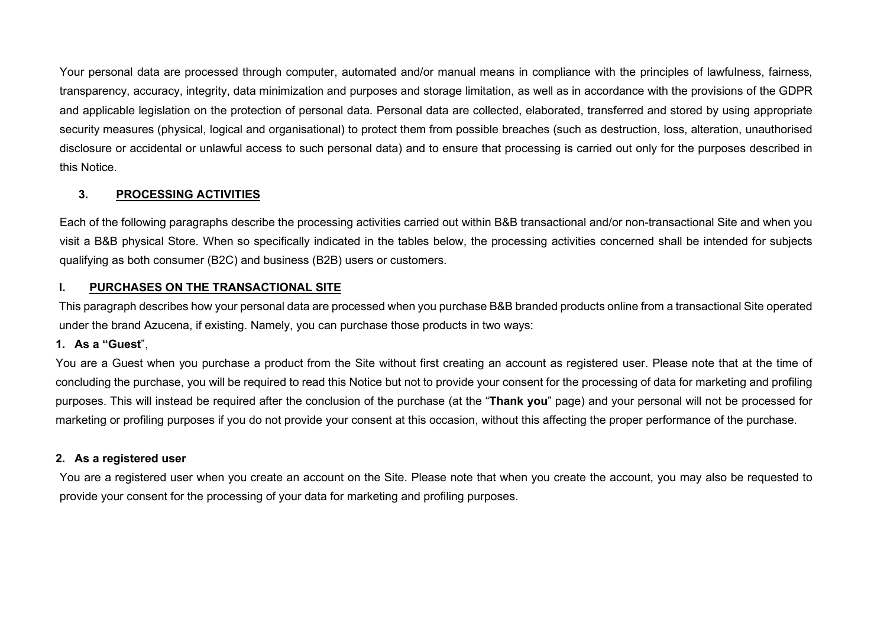Your personal data are processed through computer, automated and/or manual means in compliance with the principles of lawfulness, fairness, transparency, accuracy, integrity, data minimization and purposes and storage limitation, as well as in accordance with the provisions of the GDPR and applicable legislation on the protection of personal data. Personal data are collected, elaborated, transferred and stored by using appropriate security measures (physical, logical and organisational) to protect them from possible breaches (such as destruction, loss, alteration, unauthorised disclosure or accidental or unlawful access to such personal data) and to ensure that processing is carried out only for the purposes described in this Notice.

## 3. PROCESSING ACTIVITIES

Each of the following paragraphs describe the processing activities carried out within B&B transactional and/or non-transactional Site and when you visit a B&B physical Store. When so specifically indicated in the tables below, the processing activities concerned shall be intended for subjects qualifying as both consumer (B2C) and business (B2B) users or customers.

## I. PURCHASES ON THE TRANSACTIONAL SITE

This paragraph describes how your personal data are processed when you purchase B&B branded products online from a transactional Site operated under the brand Azucena, if existing. Namely, you can purchase those products in two ways:

## 1. As a "Guest",

You are a Guest when you purchase a product from the Site without first creating an account as registered user. Please note that at the time of concluding the purchase, you will be required to read this Notice but not to provide your consent for the processing of data for marketing and profiling purposes. This will instead be required after the conclusion of the purchase (at the "Thank you" page) and your personal will not be processed for marketing or profiling purposes if you do not provide your consent at this occasion, without this affecting the proper performance of the purchase.

## 2. As a registered user

You are a registered user when you create an account on the Site. Please note that when you create the account, you may also be requested to provide your consent for the processing of your data for marketing and profiling purposes.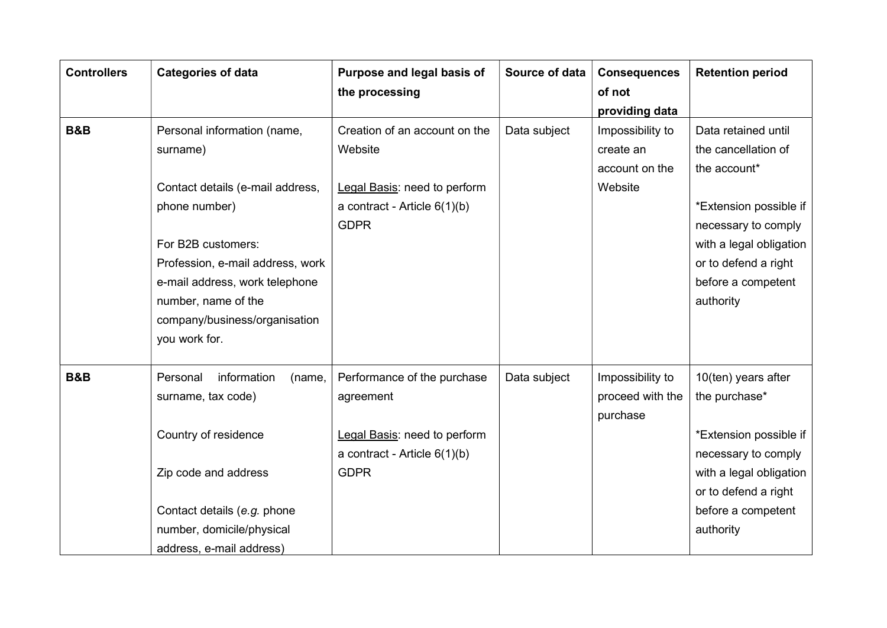| <b>Controllers</b> | <b>Categories of data</b>         | Purpose and legal basis of     | Source of data | <b>Consequences</b> | <b>Retention period</b> |
|--------------------|-----------------------------------|--------------------------------|----------------|---------------------|-------------------------|
|                    |                                   | the processing                 |                | of not              |                         |
|                    |                                   |                                |                | providing data      |                         |
| <b>B&amp;B</b>     | Personal information (name,       | Creation of an account on the  | Data subject   | Impossibility to    | Data retained until     |
|                    | surname)                          | Website                        |                | create an           | the cancellation of     |
|                    |                                   |                                |                | account on the      | the account*            |
|                    | Contact details (e-mail address,  | Legal Basis: need to perform   |                | Website             |                         |
|                    | phone number)                     | a contract - Article $6(1)(b)$ |                |                     | *Extension possible if  |
|                    |                                   | <b>GDPR</b>                    |                |                     | necessary to comply     |
|                    | For B2B customers:                |                                |                |                     | with a legal obligation |
|                    | Profession, e-mail address, work  |                                |                |                     | or to defend a right    |
|                    | e-mail address, work telephone    |                                |                |                     | before a competent      |
|                    | number, name of the               |                                |                |                     | authority               |
|                    | company/business/organisation     |                                |                |                     |                         |
|                    | you work for.                     |                                |                |                     |                         |
|                    |                                   |                                |                |                     |                         |
| <b>B&amp;B</b>     | information<br>Personal<br>(name, | Performance of the purchase    | Data subject   | Impossibility to    | 10(ten) years after     |
|                    | surname, tax code)                | agreement                      |                | proceed with the    | the purchase*           |
|                    |                                   |                                |                | purchase            |                         |
|                    | Country of residence              | Legal Basis: need to perform   |                |                     | *Extension possible if  |
|                    |                                   | a contract - Article $6(1)(b)$ |                |                     | necessary to comply     |
|                    | Zip code and address              | <b>GDPR</b>                    |                |                     | with a legal obligation |
|                    |                                   |                                |                |                     | or to defend a right    |
|                    | Contact details (e.g. phone       |                                |                |                     | before a competent      |
|                    | number, domicile/physical         |                                |                |                     | authority               |
|                    | address, e-mail address)          |                                |                |                     |                         |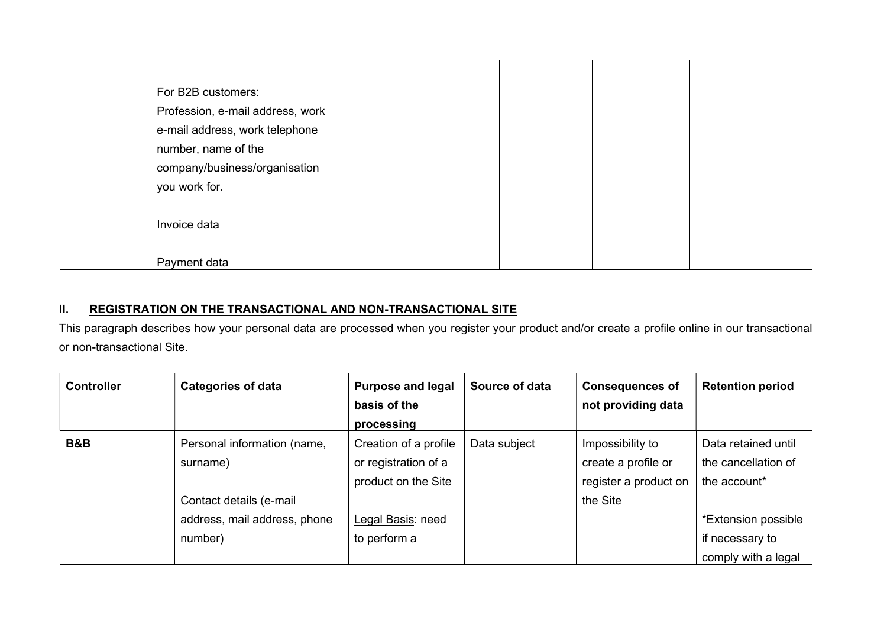| For B2B customers:               |  |
|----------------------------------|--|
| Profession, e-mail address, work |  |
| e-mail address, work telephone   |  |
| number, name of the              |  |
| company/business/organisation    |  |
| you work for.                    |  |
|                                  |  |
| Invoice data                     |  |
|                                  |  |
| Payment data                     |  |

## II. REGISTRATION ON THE TRANSACTIONAL AND NON-TRANSACTIONAL SITE

This paragraph describes how your personal data are processed when you register your product and/or create a profile online in our transactional or non-transactional Site.

| <b>Controller</b> | <b>Categories of data</b>    | <b>Purpose and legal</b> | Source of data | <b>Consequences of</b> | <b>Retention period</b> |
|-------------------|------------------------------|--------------------------|----------------|------------------------|-------------------------|
|                   |                              | basis of the             |                | not providing data     |                         |
|                   |                              | processing               |                |                        |                         |
| <b>B&amp;B</b>    | Personal information (name,  | Creation of a profile    | Data subject   | Impossibility to       | Data retained until     |
|                   | surname)                     | or registration of a     |                | create a profile or    | the cancellation of     |
|                   |                              | product on the Site      |                | register a product on  | the account*            |
|                   | Contact details (e-mail      |                          |                | the Site               |                         |
|                   | address, mail address, phone | Legal Basis: need        |                |                        | *Extension possible     |
|                   | number)                      | to perform a             |                |                        | if necessary to         |
|                   |                              |                          |                |                        | comply with a legal     |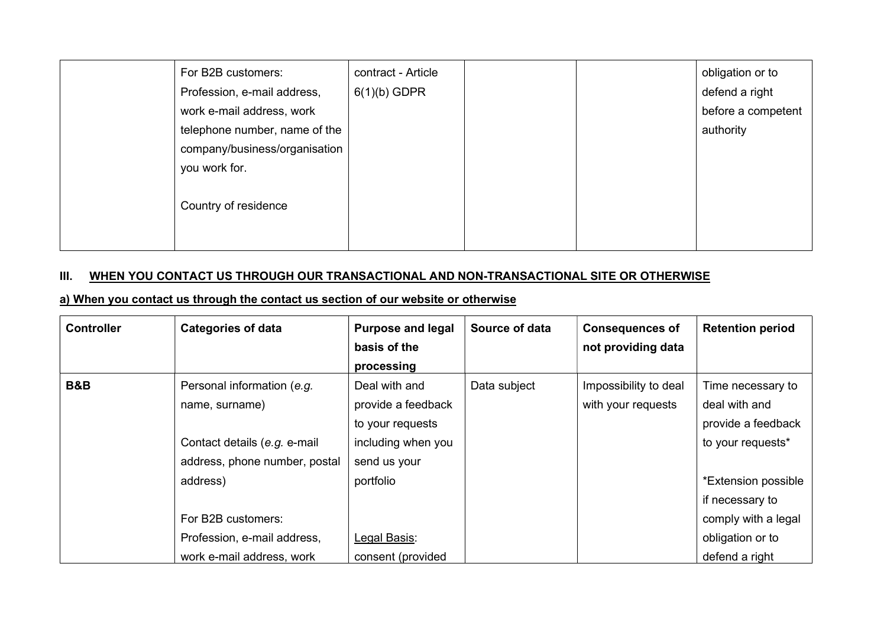| For B2B customers:            | contract - Article |  | obligation or to   |
|-------------------------------|--------------------|--|--------------------|
| Profession, e-mail address,   | $6(1)(b)$ GDPR     |  | defend a right     |
| work e-mail address, work     |                    |  | before a competent |
| telephone number, name of the |                    |  | authority          |
| company/business/organisation |                    |  |                    |
| you work for.                 |                    |  |                    |
|                               |                    |  |                    |
| Country of residence          |                    |  |                    |
|                               |                    |  |                    |
|                               |                    |  |                    |

# III. WHEN YOU CONTACT US THROUGH OUR TRANSACTIONAL AND NON-TRANSACTIONAL SITE OR OTHERWISE

## a) When you contact us through the contact us section of our website or otherwise

| <b>Controller</b> | <b>Categories of data</b>                                                                                                                       | <b>Purpose and legal</b><br>basis of the<br>processing                                                     | Source of data | <b>Consequences of</b><br>not providing data | <b>Retention period</b>                                                                                                                        |
|-------------------|-------------------------------------------------------------------------------------------------------------------------------------------------|------------------------------------------------------------------------------------------------------------|----------------|----------------------------------------------|------------------------------------------------------------------------------------------------------------------------------------------------|
| <b>B&amp;B</b>    | Personal information (e.g.<br>name, surname)<br>Contact details (e.g. e-mail<br>address, phone number, postal<br>address)<br>For B2B customers: | Deal with and<br>provide a feedback<br>to your requests<br>including when you<br>send us your<br>portfolio | Data subject   | Impossibility to deal<br>with your requests  | Time necessary to<br>deal with and<br>provide a feedback<br>to your requests*<br>*Extension possible<br>if necessary to<br>comply with a legal |
|                   | Profession, e-mail address,<br>work e-mail address, work                                                                                        | Legal Basis:<br>consent (provided                                                                          |                |                                              | obligation or to<br>defend a right                                                                                                             |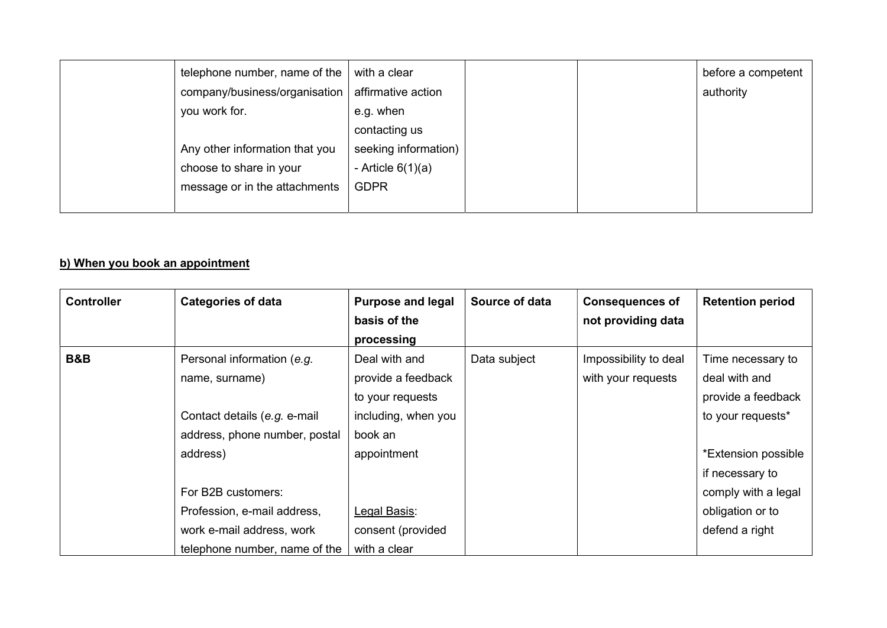| telephone number, name of the<br>company/business/organisation<br>you work for.            | with a clear<br>affirmative action<br>e.g. when<br>contacting us |  | before a competent<br>authority |
|--------------------------------------------------------------------------------------------|------------------------------------------------------------------|--|---------------------------------|
| Any other information that you<br>choose to share in your<br>message or in the attachments | seeking information)<br>- Article $6(1)(a)$<br><b>GDPR</b>       |  |                                 |

# b) When you book an appointment

| <b>Controller</b> | <b>Categories of data</b>     | <b>Purpose and legal</b> | Source of data | <b>Consequences of</b> | <b>Retention period</b> |
|-------------------|-------------------------------|--------------------------|----------------|------------------------|-------------------------|
|                   |                               | basis of the             |                | not providing data     |                         |
|                   |                               | processing               |                |                        |                         |
| B&B               | Personal information (e.g.    | Deal with and            | Data subject   | Impossibility to deal  | Time necessary to       |
|                   | name, surname)                | provide a feedback       |                | with your requests     | deal with and           |
|                   |                               | to your requests         |                |                        | provide a feedback      |
|                   | Contact details (e.g. e-mail  | including, when you      |                |                        | to your requests*       |
|                   | address, phone number, postal | book an                  |                |                        |                         |
|                   | address)                      | appointment              |                |                        | *Extension possible     |
|                   |                               |                          |                |                        | if necessary to         |
|                   | For B2B customers:            |                          |                |                        | comply with a legal     |
|                   | Profession, e-mail address,   | Legal Basis:             |                |                        | obligation or to        |
|                   | work e-mail address, work     | consent (provided        |                |                        | defend a right          |
|                   | telephone number, name of the | with a clear             |                |                        |                         |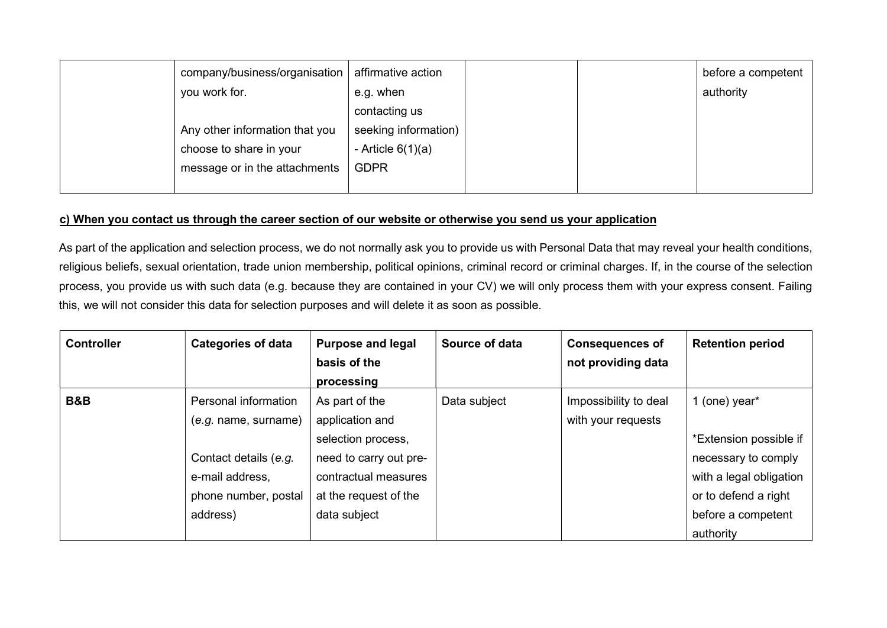| company/business/organisation  | affirmative action   |  | before a competent |
|--------------------------------|----------------------|--|--------------------|
| you work for.                  | e.g. when            |  | authority          |
|                                | contacting us        |  |                    |
| Any other information that you | seeking information) |  |                    |
| choose to share in your        | - Article $6(1)(a)$  |  |                    |
| message or in the attachments  | <b>GDPR</b>          |  |                    |
|                                |                      |  |                    |

#### c) When you contact us through the career section of our website or otherwise you send us your application

As part of the application and selection process, we do not normally ask you to provide us with Personal Data that may reveal your health conditions, religious beliefs, sexual orientation, trade union membership, political opinions, criminal record or criminal charges. If, in the course of the selection process, you provide us with such data (e.g. because they are contained in your CV) we will only process them with your express consent. Failing this, we will not consider this data for selection purposes and will delete it as soon as possible.

| <b>Controller</b> | <b>Categories of data</b> | <b>Purpose and legal</b> | Source of data | <b>Consequences of</b> | <b>Retention period</b> |
|-------------------|---------------------------|--------------------------|----------------|------------------------|-------------------------|
|                   |                           | basis of the             |                | not providing data     |                         |
|                   |                           | processing               |                |                        |                         |
| <b>B&amp;B</b>    | Personal information      | As part of the           | Data subject   | Impossibility to deal  | 1 (one) year*           |
|                   | (e.g. name, sumame)       | application and          |                | with your requests     |                         |
|                   |                           | selection process,       |                |                        | *Extension possible if  |
|                   | Contact details (e.g.     | need to carry out pre-   |                |                        | necessary to comply     |
|                   | e-mail address,           | contractual measures     |                |                        | with a legal obligation |
|                   | phone number, postal      | at the request of the    |                |                        | or to defend a right    |
|                   | address)                  | data subject             |                |                        | before a competent      |
|                   |                           |                          |                |                        | authority               |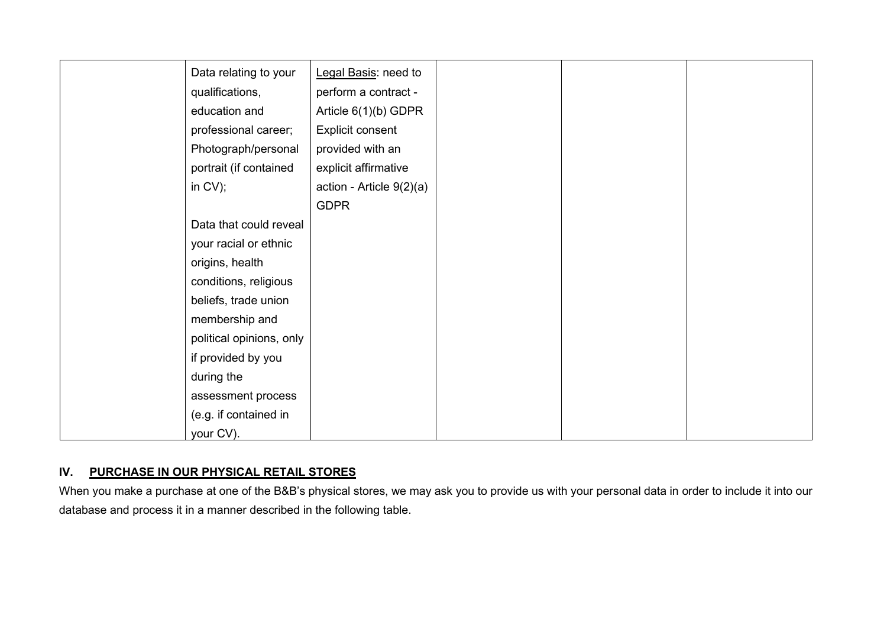| Data relating to your    | Legal Basis: need to       |
|--------------------------|----------------------------|
| qualifications,          | perform a contract -       |
| education and            | Article 6(1)(b) GDPR       |
| professional career;     | Explicit consent           |
| Photograph/personal      | provided with an           |
| portrait (if contained   | explicit affirmative       |
| in $CV$ ;                | action - Article $9(2)(a)$ |
|                          | <b>GDPR</b>                |
| Data that could reveal   |                            |
| your racial or ethnic    |                            |
| origins, health          |                            |
| conditions, religious    |                            |
| beliefs, trade union     |                            |
| membership and           |                            |
| political opinions, only |                            |
| if provided by you       |                            |
| during the               |                            |
| assessment process       |                            |
| (e.g. if contained in    |                            |
| your CV).                |                            |

## IV. PURCHASE IN OUR PHYSICAL RETAIL STORES

When you make a purchase at one of the B&B's physical stores, we may ask you to provide us with your personal data in order to include it into our database and process it in a manner described in the following table.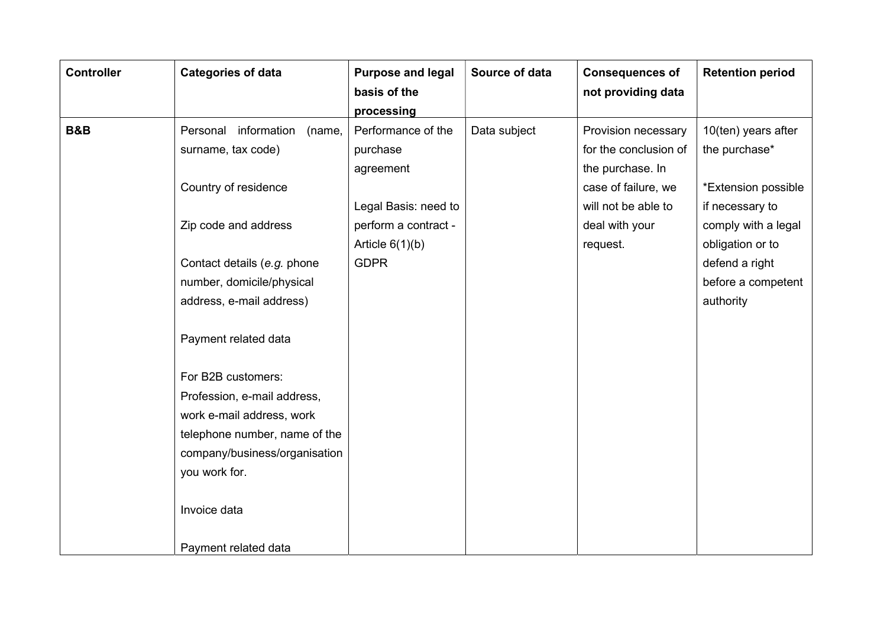| <b>Controller</b> | <b>Categories of data</b>         | <b>Purpose and legal</b> | Source of data | <b>Consequences of</b> | <b>Retention period</b> |
|-------------------|-----------------------------------|--------------------------|----------------|------------------------|-------------------------|
|                   |                                   | basis of the             |                | not providing data     |                         |
|                   |                                   | processing               |                |                        |                         |
| <b>B&amp;B</b>    | information<br>Personal<br>(name, | Performance of the       | Data subject   | Provision necessary    | 10(ten) years after     |
|                   | surname, tax code)                | purchase                 |                | for the conclusion of  | the purchase*           |
|                   |                                   | agreement                |                | the purchase. In       |                         |
|                   | Country of residence              |                          |                | case of failure, we    | *Extension possible     |
|                   |                                   | Legal Basis: need to     |                | will not be able to    | if necessary to         |
|                   | Zip code and address              | perform a contract -     |                | deal with your         | comply with a legal     |
|                   |                                   | Article $6(1)(b)$        |                | request.               | obligation or to        |
|                   | Contact details (e.g. phone       | <b>GDPR</b>              |                |                        | defend a right          |
|                   | number, domicile/physical         |                          |                |                        | before a competent      |
|                   | address, e-mail address)          |                          |                |                        | authority               |
|                   |                                   |                          |                |                        |                         |
|                   | Payment related data              |                          |                |                        |                         |
|                   |                                   |                          |                |                        |                         |
|                   | For B2B customers:                |                          |                |                        |                         |
|                   | Profession, e-mail address,       |                          |                |                        |                         |
|                   | work e-mail address, work         |                          |                |                        |                         |
|                   | telephone number, name of the     |                          |                |                        |                         |
|                   | company/business/organisation     |                          |                |                        |                         |
|                   | you work for.                     |                          |                |                        |                         |
|                   |                                   |                          |                |                        |                         |
|                   | Invoice data                      |                          |                |                        |                         |
|                   |                                   |                          |                |                        |                         |
|                   | Payment related data              |                          |                |                        |                         |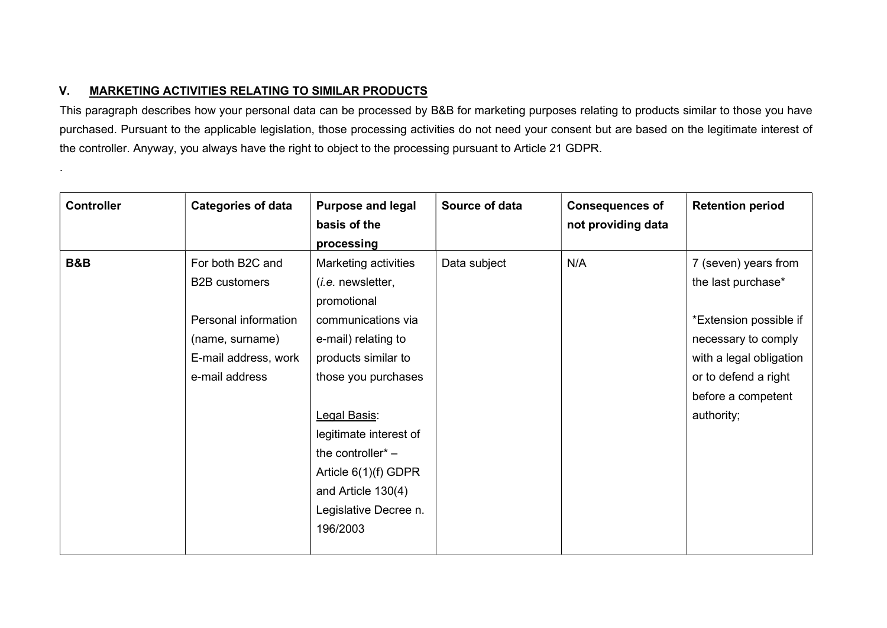## V. MARKETING ACTIVITIES RELATING TO SIMILAR PRODUCTS

.

This paragraph describes how your personal data can be processed by B&B for marketing purposes relating to products similar to those you have purchased. Pursuant to the applicable legislation, those processing activities do not need your consent but are based on the legitimate interest of the controller. Anyway, you always have the right to object to the processing pursuant to Article 21 GDPR.

| <b>Controller</b> | <b>Categories of data</b> | <b>Purpose and legal</b><br>basis of the | Source of data | <b>Consequences of</b><br>not providing data | <b>Retention period</b> |
|-------------------|---------------------------|------------------------------------------|----------------|----------------------------------------------|-------------------------|
|                   |                           | processing                               |                |                                              |                         |
| <b>B&amp;B</b>    | For both B2C and          | Marketing activities                     | Data subject   | N/A                                          | 7 (seven) years from    |
|                   | <b>B2B</b> customers      | ( <i>i.e.</i> newsletter,                |                |                                              | the last purchase*      |
|                   |                           | promotional                              |                |                                              |                         |
|                   | Personal information      | communications via                       |                |                                              | *Extension possible if  |
|                   | (name, surname)           | e-mail) relating to                      |                |                                              | necessary to comply     |
|                   | E-mail address, work      | products similar to                      |                |                                              | with a legal obligation |
|                   | e-mail address            | those you purchases                      |                |                                              | or to defend a right    |
|                   |                           |                                          |                |                                              | before a competent      |
|                   |                           | Legal Basis:                             |                |                                              | authority;              |
|                   |                           | legitimate interest of                   |                |                                              |                         |
|                   |                           | the controller <sup>*</sup> $-$          |                |                                              |                         |
|                   |                           | Article $6(1)(f)$ GDPR                   |                |                                              |                         |
|                   |                           | and Article 130(4)                       |                |                                              |                         |
|                   |                           | Legislative Decree n.                    |                |                                              |                         |
|                   |                           | 196/2003                                 |                |                                              |                         |
|                   |                           |                                          |                |                                              |                         |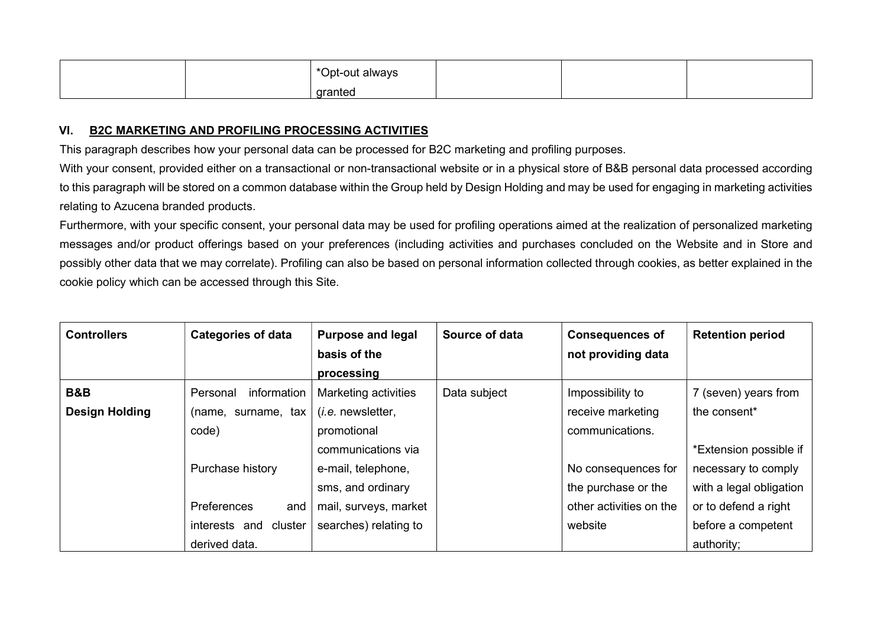|  | *Opt-out always |  |  |
|--|-----------------|--|--|
|  | granted         |  |  |

## VI. B2C MARKETING AND PROFILING PROCESSING ACTIVITIES

This paragraph describes how your personal data can be processed for B2C marketing and profiling purposes.

With your consent, provided either on a transactional or non-transactional website or in a physical store of B&B personal data processed according to this paragraph will be stored on a common database within the Group held by Design Holding and may be used for engaging in marketing activities relating to Azucena branded products.

Furthermore, with your specific consent, your personal data may be used for profiling operations aimed at the realization of personalized marketing messages and/or product offerings based on your preferences (including activities and purchases concluded on the Website and in Store and possibly other data that we may correlate). Profiling can also be based on personal information collected through cookies, as better explained in the cookie policy which can be accessed through this Site.

| <b>Controllers</b>    | <b>Categories of data</b> | <b>Purpose and legal</b> | Source of data | <b>Consequences of</b>  | <b>Retention period</b> |
|-----------------------|---------------------------|--------------------------|----------------|-------------------------|-------------------------|
|                       |                           | basis of the             |                | not providing data      |                         |
|                       |                           | processing               |                |                         |                         |
| <b>B&amp;B</b>        | information<br>Personal   | Marketing activities     | Data subject   | Impossibility to        | 7 (seven) years from    |
| <b>Design Holding</b> | (name, surname, tax       | $(i.e.$ newsletter,      |                | receive marketing       | the consent*            |
|                       | code)                     | promotional              |                | communications.         |                         |
|                       |                           | communications via       |                |                         | *Extension possible if  |
|                       | Purchase history          | e-mail, telephone,       |                | No consequences for     | necessary to comply     |
|                       |                           | sms, and ordinary        |                | the purchase or the     | with a legal obligation |
|                       | Preferences<br>and        | mail, surveys, market    |                | other activities on the | or to defend a right    |
|                       | interests and<br>cluster  | searches) relating to    |                | website                 | before a competent      |
|                       | derived data.             |                          |                |                         | authority;              |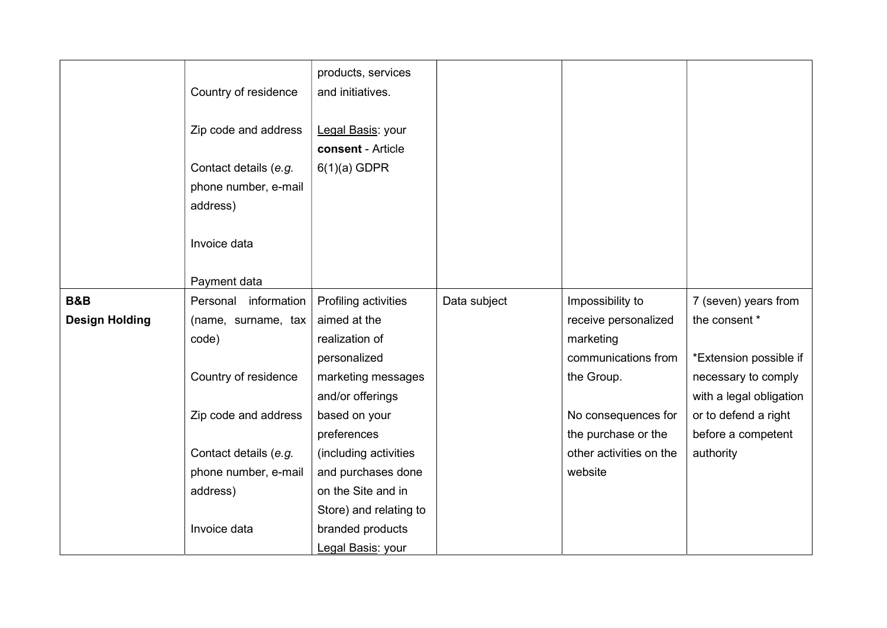|                       | Country of residence                          | products, services<br>and initiatives. |              |                         |                         |
|-----------------------|-----------------------------------------------|----------------------------------------|--------------|-------------------------|-------------------------|
|                       | Zip code and address                          | Legal Basis: your<br>consent - Article |              |                         |                         |
|                       | Contact details (e.g.<br>phone number, e-mail | $6(1)(a)$ GDPR                         |              |                         |                         |
|                       | address)                                      |                                        |              |                         |                         |
|                       | Invoice data                                  |                                        |              |                         |                         |
|                       | Payment data                                  |                                        |              |                         |                         |
| <b>B&amp;B</b>        | Personal information                          | Profiling activities                   | Data subject | Impossibility to        | 7 (seven) years from    |
| <b>Design Holding</b> | (name, surname, tax                           | aimed at the                           |              | receive personalized    | the consent *           |
|                       | code)                                         | realization of                         |              | marketing               |                         |
|                       |                                               | personalized                           |              | communications from     | *Extension possible if  |
|                       | Country of residence                          | marketing messages                     |              | the Group.              | necessary to comply     |
|                       |                                               | and/or offerings                       |              |                         | with a legal obligation |
|                       | Zip code and address                          | based on your                          |              | No consequences for     | or to defend a right    |
|                       |                                               | preferences                            |              | the purchase or the     | before a competent      |
|                       | Contact details (e.g.                         | (including activities                  |              | other activities on the | authority               |
|                       | phone number, e-mail                          | and purchases done                     |              | website                 |                         |
|                       | address)                                      | on the Site and in                     |              |                         |                         |
|                       |                                               | Store) and relating to                 |              |                         |                         |
|                       | Invoice data                                  | branded products                       |              |                         |                         |
|                       |                                               | Legal Basis: your                      |              |                         |                         |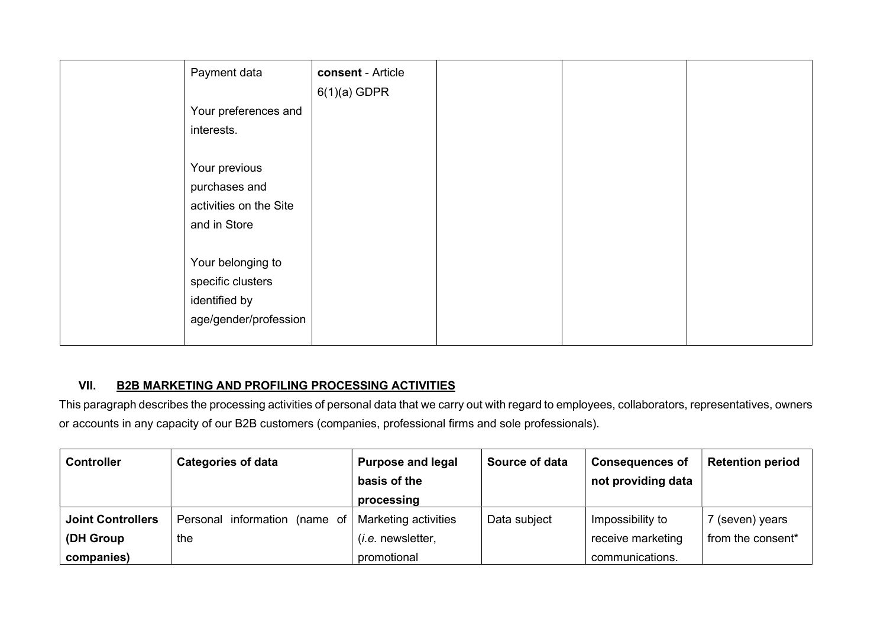| Payment data           | consent - Article |  |  |
|------------------------|-------------------|--|--|
|                        | $6(1)(a)$ GDPR    |  |  |
| Your preferences and   |                   |  |  |
| interests.             |                   |  |  |
|                        |                   |  |  |
| Your previous          |                   |  |  |
| purchases and          |                   |  |  |
| activities on the Site |                   |  |  |
| and in Store           |                   |  |  |
|                        |                   |  |  |
| Your belonging to      |                   |  |  |
| specific clusters      |                   |  |  |
| identified by          |                   |  |  |
| age/gender/profession  |                   |  |  |
|                        |                   |  |  |

## VII. B2B MARKETING AND PROFILING PROCESSING ACTIVITIES

This paragraph describes the processing activities of personal data that we carry out with regard to employees, collaborators, representatives, owners or accounts in any capacity of our B2B customers (companies, professional firms and sole professionals).

| <b>Controller</b>                     | <b>Categories of data</b>                                   | <b>Purpose and legal</b><br>basis of the<br>processing | Source of data | <b>Consequences of</b><br>not providing data | <b>Retention period</b>              |
|---------------------------------------|-------------------------------------------------------------|--------------------------------------------------------|----------------|----------------------------------------------|--------------------------------------|
| <b>Joint Controllers</b><br>(DH Group | Personal information (name of   Marketing activities<br>the | ( <i>i.e.</i> newsletter,                              | Data subject   | Impossibility to<br>receive marketing        | 7 (seven) years<br>from the consent* |
| companies)                            |                                                             | promotional                                            |                | communications.                              |                                      |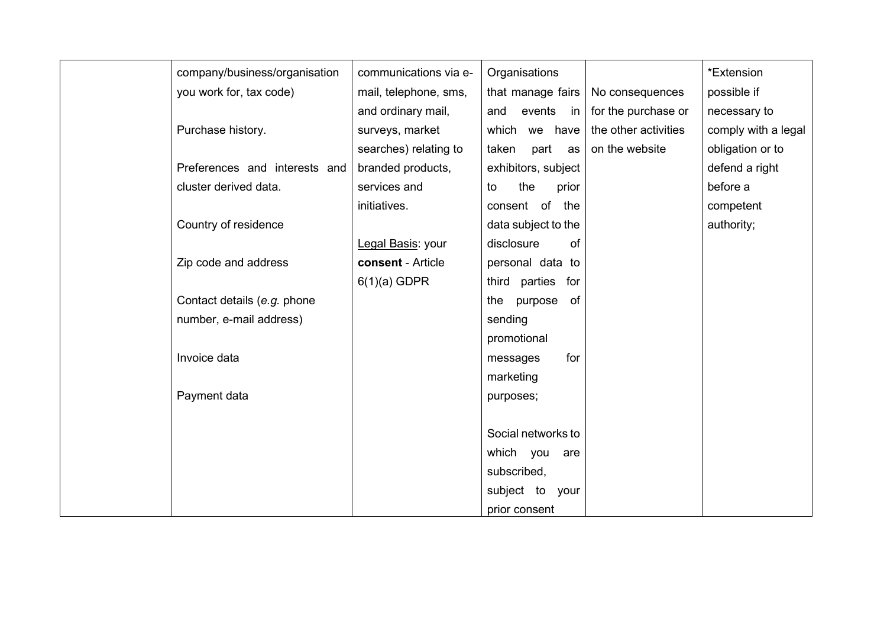| company/business/organisation | communications via e- | Organisations        |                      | *Extension          |
|-------------------------------|-----------------------|----------------------|----------------------|---------------------|
| you work for, tax code)       | mail, telephone, sms, | that manage fairs    | No consequences      | possible if         |
|                               | and ordinary mail,    | events<br>and<br>in  | for the purchase or  | necessary to        |
| Purchase history.             | surveys, market       | which we have        | the other activities | comply with a legal |
|                               | searches) relating to | taken<br>part<br>as  | on the website       | obligation or to    |
| Preferences and interests and | branded products,     | exhibitors, subject  |                      | defend a right      |
| cluster derived data.         | services and          | the<br>to<br>prior   |                      | before a            |
|                               | initiatives.          | consent of the       |                      | competent           |
| Country of residence          |                       | data subject to the  |                      | authority;          |
|                               | Legal Basis: your     | disclosure<br>of     |                      |                     |
| Zip code and address          | consent - Article     | personal data to     |                      |                     |
|                               | $6(1)(a)$ GDPR        | third parties for    |                      |                     |
| Contact details (e.g. phone   |                       | purpose<br>the<br>of |                      |                     |
| number, e-mail address)       |                       | sending              |                      |                     |
|                               |                       | promotional          |                      |                     |
| Invoice data                  |                       | for<br>messages      |                      |                     |
|                               |                       | marketing            |                      |                     |
| Payment data                  |                       | purposes;            |                      |                     |
|                               |                       |                      |                      |                     |
|                               |                       | Social networks to   |                      |                     |
|                               |                       | which you<br>are     |                      |                     |
|                               |                       | subscribed,          |                      |                     |
|                               |                       | subject to your      |                      |                     |
|                               |                       | prior consent        |                      |                     |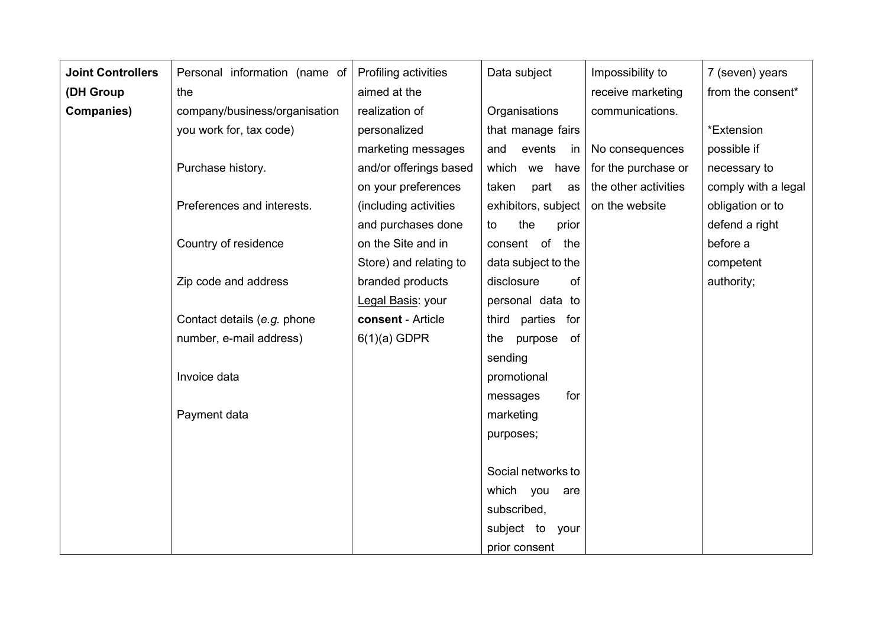| <b>Joint Controllers</b> | Personal information (name of | Profiling activities   | Data subject         | Impossibility to     | 7 (seven) years     |
|--------------------------|-------------------------------|------------------------|----------------------|----------------------|---------------------|
| (DH Group                | the                           | aimed at the           |                      | receive marketing    | from the consent*   |
| <b>Companies)</b>        | company/business/organisation | realization of         | Organisations        | communications.      |                     |
|                          | you work for, tax code)       | personalized           | that manage fairs    |                      | *Extension          |
|                          |                               | marketing messages     | events<br>and<br>in  | No consequences      | possible if         |
|                          | Purchase history.             | and/or offerings based | which we have        | for the purchase or  | necessary to        |
|                          |                               | on your preferences    | taken<br>part<br>as  | the other activities | comply with a legal |
|                          | Preferences and interests.    | (including activities  | exhibitors, subject  | on the website       | obligation or to    |
|                          |                               | and purchases done     | the<br>prior<br>to   |                      | defend a right      |
|                          | Country of residence          | on the Site and in     | consent of<br>the    |                      | before a            |
|                          |                               | Store) and relating to | data subject to the  |                      | competent           |
|                          | Zip code and address          | branded products       | disclosure<br>of     |                      | authority;          |
|                          |                               | Legal Basis: your      | personal data to     |                      |                     |
|                          | Contact details (e.g. phone   | consent - Article      | third parties for    |                      |                     |
|                          | number, e-mail address)       | $6(1)(a)$ GDPR         | purpose<br>of<br>the |                      |                     |
|                          |                               |                        | sending              |                      |                     |
|                          | Invoice data                  |                        | promotional          |                      |                     |
|                          |                               |                        | for<br>messages      |                      |                     |
|                          | Payment data                  |                        | marketing            |                      |                     |
|                          |                               |                        | purposes;            |                      |                     |
|                          |                               |                        |                      |                      |                     |
|                          |                               |                        | Social networks to   |                      |                     |
|                          |                               |                        | which you<br>are     |                      |                     |
|                          |                               |                        | subscribed,          |                      |                     |
|                          |                               |                        | subject to your      |                      |                     |
|                          |                               |                        | prior consent        |                      |                     |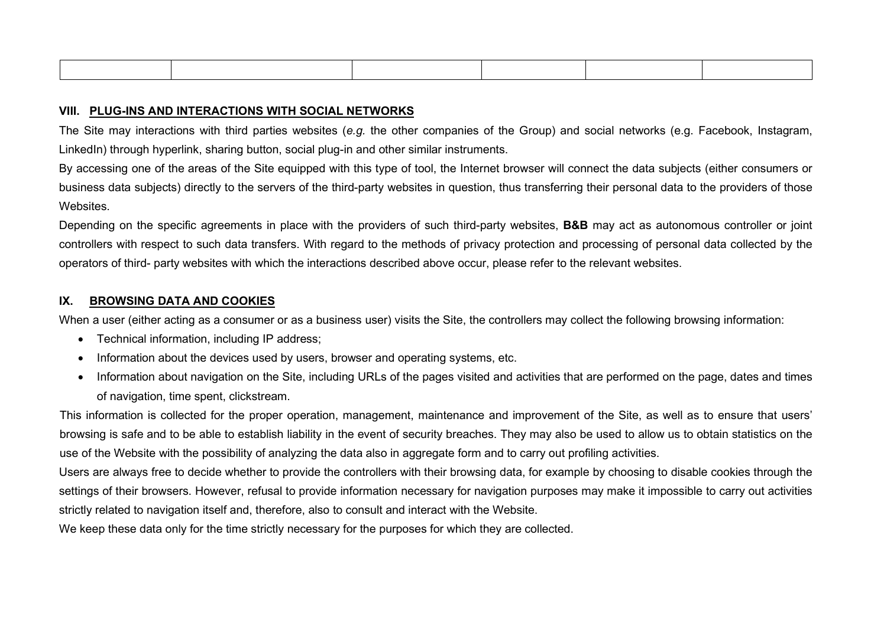#### VIII. PLUG-INS AND INTERACTIONS WITH SOCIAL NETWORKS

The Site may interactions with third parties websites (e.g. the other companies of the Group) and social networks (e.g. Facebook, Instagram, LinkedIn) through hyperlink, sharing button, social plug-in and other similar instruments.

By accessing one of the areas of the Site equipped with this type of tool, the Internet browser will connect the data subjects (either consumers or business data subjects) directly to the servers of the third-party websites in question, thus transferring their personal data to the providers of those Websites.

Depending on the specific agreements in place with the providers of such third-party websites, **B&B** may act as autonomous controller or joint controllers with respect to such data transfers. With regard to the methods of privacy protection and processing of personal data collected by the operators of third- party websites with which the interactions described above occur, please refer to the relevant websites.

#### IX. BROWSING DATA AND COOKIES

When a user (either acting as a consumer or as a business user) visits the Site, the controllers may collect the following browsing information:

- Technical information, including IP address;
- Information about the devices used by users, browser and operating systems, etc.
- Information about navigation on the Site, including URLs of the pages visited and activities that are performed on the page, dates and times of navigation, time spent, clickstream.

This information is collected for the proper operation, management, maintenance and improvement of the Site, as well as to ensure that users' browsing is safe and to be able to establish liability in the event of security breaches. They may also be used to allow us to obtain statistics on the use of the Website with the possibility of analyzing the data also in aggregate form and to carry out profiling activities.

Users are always free to decide whether to provide the controllers with their browsing data, for example by choosing to disable cookies through the settings of their browsers. However, refusal to provide information necessary for navigation purposes may make it impossible to carry out activities strictly related to navigation itself and, therefore, also to consult and interact with the Website.

We keep these data only for the time strictly necessary for the purposes for which they are collected.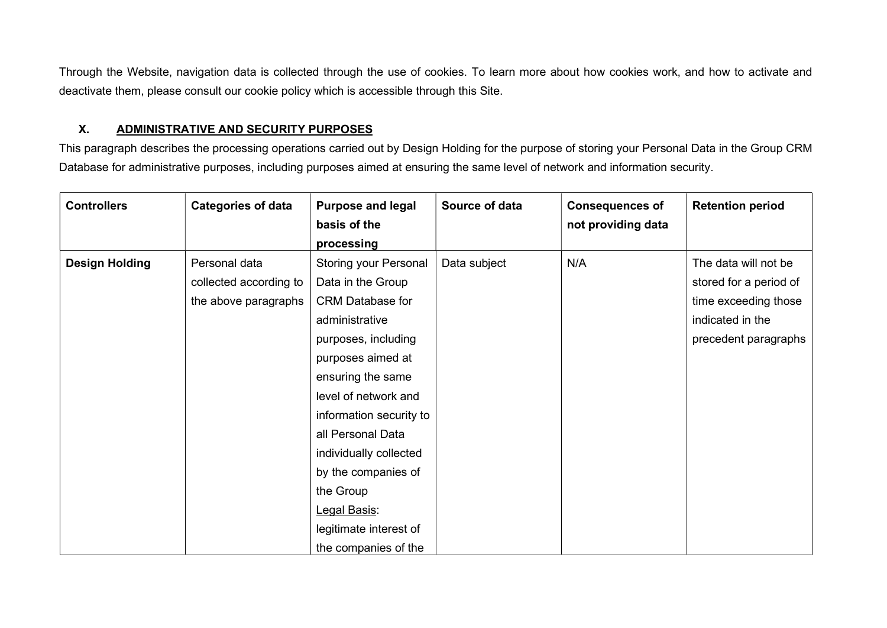Through the Website, navigation data is collected through the use of cookies. To learn more about how cookies work, and how to activate and deactivate them, please consult our cookie policy which is accessible through this Site.

## X. ADMINISTRATIVE AND SECURITY PURPOSES

This paragraph describes the processing operations carried out by Design Holding for the purpose of storing your Personal Data in the Group CRM Database for administrative purposes, including purposes aimed at ensuring the same level of network and information security.

| <b>Controllers</b>    | <b>Categories of data</b>                                       | <b>Purpose and legal</b><br>basis of the<br>processing                                                                                                                                                                                                                                                                                          | Source of data | <b>Consequences of</b><br>not providing data | <b>Retention period</b>                                                                                            |
|-----------------------|-----------------------------------------------------------------|-------------------------------------------------------------------------------------------------------------------------------------------------------------------------------------------------------------------------------------------------------------------------------------------------------------------------------------------------|----------------|----------------------------------------------|--------------------------------------------------------------------------------------------------------------------|
| <b>Design Holding</b> | Personal data<br>collected according to<br>the above paragraphs | <b>Storing your Personal</b><br>Data in the Group<br><b>CRM Database for</b><br>administrative<br>purposes, including<br>purposes aimed at<br>ensuring the same<br>level of network and<br>information security to<br>all Personal Data<br>individually collected<br>by the companies of<br>the Group<br>Legal Basis:<br>legitimate interest of | Data subject   | N/A                                          | The data will not be<br>stored for a period of<br>time exceeding those<br>indicated in the<br>precedent paragraphs |
|                       |                                                                 | the companies of the                                                                                                                                                                                                                                                                                                                            |                |                                              |                                                                                                                    |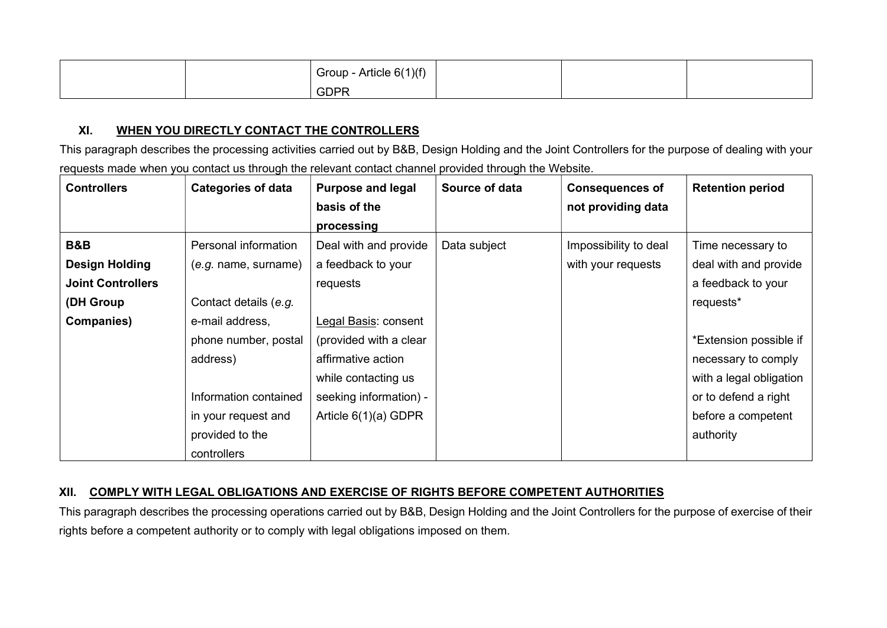|  | Group - Article 6(1)(f) |  |  |
|--|-------------------------|--|--|
|  | <b>GDPR</b>             |  |  |

## XI. WHEN YOU DIRECTLY CONTACT THE CONTROLLERS

This paragraph describes the processing activities carried out by B&B, Design Holding and the Joint Controllers for the purpose of dealing with your requests made when you contact us through the relevant contact channel provided through the Website.

| <b>Controllers</b>       | <b>Categories of data</b> | <b>Purpose and legal</b> | Source of data | <b>Consequences of</b> | <b>Retention period</b> |
|--------------------------|---------------------------|--------------------------|----------------|------------------------|-------------------------|
|                          |                           | basis of the             |                | not providing data     |                         |
|                          |                           | processing               |                |                        |                         |
| <b>B&amp;B</b>           | Personal information      | Deal with and provide    | Data subject   | Impossibility to deal  | Time necessary to       |
| <b>Design Holding</b>    | (e.g. name, surname)      | a feedback to your       |                | with your requests     | deal with and provide   |
| <b>Joint Controllers</b> |                           | requests                 |                |                        | a feedback to your      |
| (DH Group                | Contact details (e.g.     |                          |                |                        | requests*               |
| <b>Companies)</b>        | e-mail address,           | Legal Basis: consent     |                |                        |                         |
|                          | phone number, postal      | (provided with a clear   |                |                        | *Extension possible if  |
|                          | address)                  | affirmative action       |                |                        | necessary to comply     |
|                          |                           | while contacting us      |                |                        | with a legal obligation |
|                          | Information contained     | seeking information) -   |                |                        | or to defend a right    |
|                          | in your request and       | Article $6(1)(a)$ GDPR   |                |                        | before a competent      |
|                          | provided to the           |                          |                |                        | authority               |
|                          | controllers               |                          |                |                        |                         |

## XII. COMPLY WITH LEGAL OBLIGATIONS AND EXERCISE OF RIGHTS BEFORE COMPETENT AUTHORITIES

This paragraph describes the processing operations carried out by B&B, Design Holding and the Joint Controllers for the purpose of exercise of their rights before a competent authority or to comply with legal obligations imposed on them.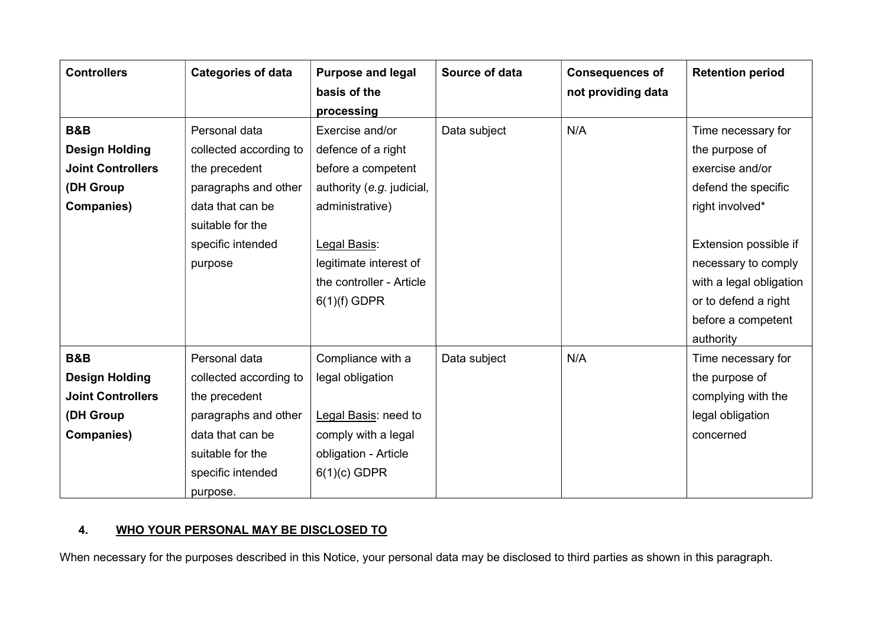| <b>Controllers</b>       | <b>Categories of data</b> | <b>Purpose and legal</b>  | Source of data | <b>Consequences of</b> | <b>Retention period</b> |
|--------------------------|---------------------------|---------------------------|----------------|------------------------|-------------------------|
|                          |                           | basis of the              |                | not providing data     |                         |
|                          |                           | processing                |                |                        |                         |
| <b>B&amp;B</b>           | Personal data             | Exercise and/or           | Data subject   | N/A                    | Time necessary for      |
| <b>Design Holding</b>    | collected according to    | defence of a right        |                |                        | the purpose of          |
| <b>Joint Controllers</b> | the precedent             | before a competent        |                |                        | exercise and/or         |
| (DH Group                | paragraphs and other      | authority (e.g. judicial, |                |                        | defend the specific     |
| <b>Companies)</b>        | data that can be          | administrative)           |                |                        | right involved*         |
|                          | suitable for the          |                           |                |                        |                         |
|                          | specific intended         | Legal Basis:              |                |                        | Extension possible if   |
|                          | purpose                   | legitimate interest of    |                |                        | necessary to comply     |
|                          |                           | the controller - Article  |                |                        | with a legal obligation |
|                          |                           | $6(1)(f)$ GDPR            |                |                        | or to defend a right    |
|                          |                           |                           |                |                        | before a competent      |
|                          |                           |                           |                |                        | authority               |
| <b>B&amp;B</b>           | Personal data             | Compliance with a         | Data subject   | N/A                    | Time necessary for      |
| <b>Design Holding</b>    | collected according to    | legal obligation          |                |                        | the purpose of          |
| <b>Joint Controllers</b> | the precedent             |                           |                |                        | complying with the      |
| (DH Group                | paragraphs and other      | Legal Basis: need to      |                |                        | legal obligation        |
| <b>Companies)</b>        | data that can be          | comply with a legal       |                |                        | concerned               |
|                          | suitable for the          | obligation - Article      |                |                        |                         |
|                          | specific intended         | $6(1)(c)$ GDPR            |                |                        |                         |
|                          | purpose.                  |                           |                |                        |                         |

## 4. WHO YOUR PERSONAL MAY BE DISCLOSED TO

When necessary for the purposes described in this Notice, your personal data may be disclosed to third parties as shown in this paragraph.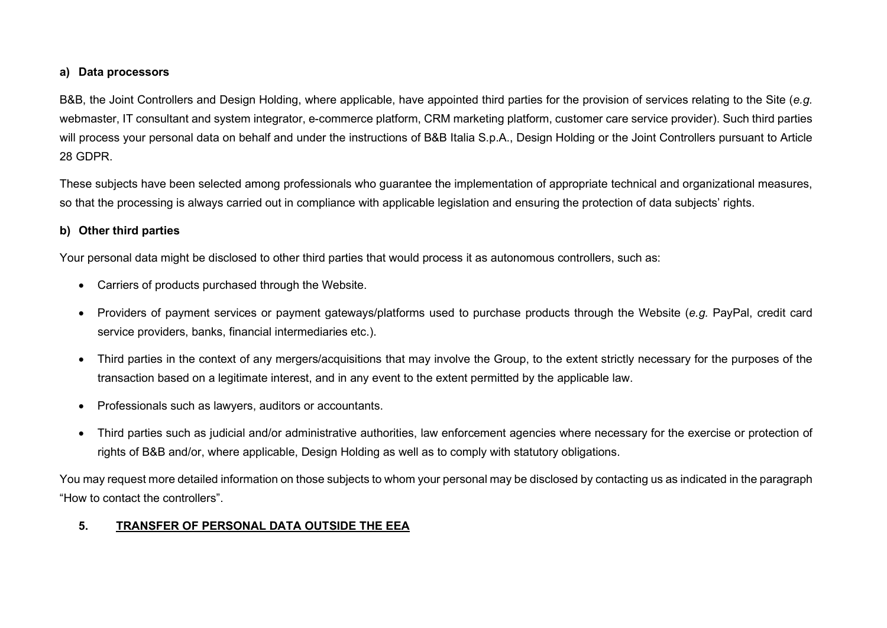## a) Data processors

B&B, the Joint Controllers and Design Holding, where applicable, have appointed third parties for the provision of services relating to the Site (e.g. webmaster, IT consultant and system integrator, e-commerce platform, CRM marketing platform, customer care service provider). Such third parties will process your personal data on behalf and under the instructions of B&B Italia S.p.A., Design Holding or the Joint Controllers pursuant to Article 28 GDPR.

These subjects have been selected among professionals who guarantee the implementation of appropriate technical and organizational measures, so that the processing is always carried out in compliance with applicable legislation and ensuring the protection of data subjects' rights.

## b) Other third parties

Your personal data might be disclosed to other third parties that would process it as autonomous controllers, such as:

- Carriers of products purchased through the Website.
- Providers of payment services or payment gateways/platforms used to purchase products through the Website (e.g. PayPal, credit card service providers, banks, financial intermediaries etc.).
- Third parties in the context of any mergers/acquisitions that may involve the Group, to the extent strictly necessary for the purposes of the transaction based on a legitimate interest, and in any event to the extent permitted by the applicable law.
- Professionals such as lawyers, auditors or accountants.
- Third parties such as judicial and/or administrative authorities, law enforcement agencies where necessary for the exercise or protection of rights of B&B and/or, where applicable, Design Holding as well as to comply with statutory obligations.

You may request more detailed information on those subjects to whom your personal may be disclosed by contacting us as indicated in the paragraph "How to contact the controllers".

## 5. TRANSFER OF PERSONAL DATA OUTSIDE THE EEA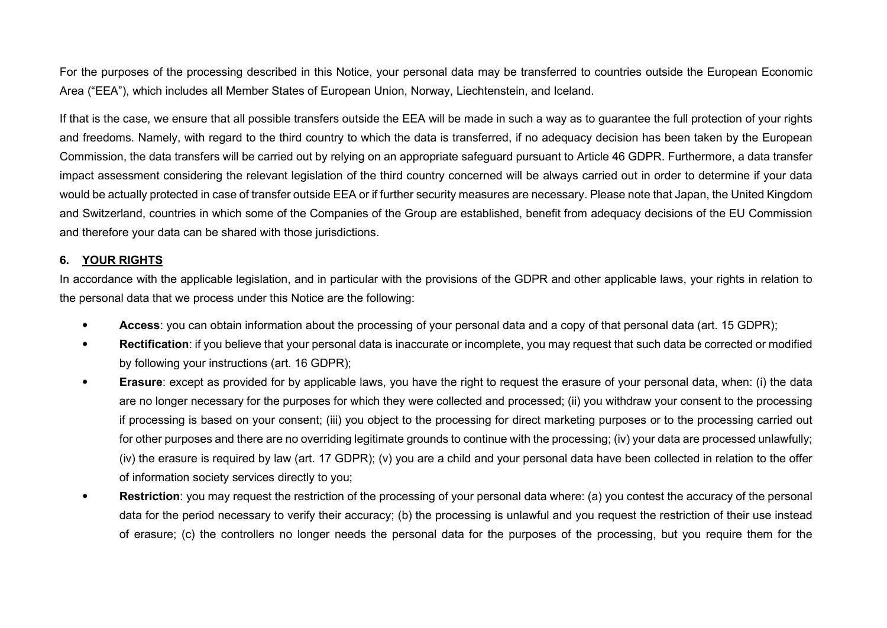For the purposes of the processing described in this Notice, your personal data may be transferred to countries outside the European Economic Area ("EEA"), which includes all Member States of European Union, Norway, Liechtenstein, and Iceland.

If that is the case, we ensure that all possible transfers outside the EEA will be made in such a way as to guarantee the full protection of your rights and freedoms. Namely, with regard to the third country to which the data is transferred, if no adequacy decision has been taken by the European Commission, the data transfers will be carried out by relying on an appropriate safeguard pursuant to Article 46 GDPR. Furthermore, a data transfer impact assessment considering the relevant legislation of the third country concerned will be always carried out in order to determine if your data would be actually protected in case of transfer outside EEA or if further security measures are necessary. Please note that Japan, the United Kingdom and Switzerland, countries in which some of the Companies of the Group are established, benefit from adequacy decisions of the EU Commission and therefore your data can be shared with those jurisdictions.

#### 6. YOUR RIGHTS

In accordance with the applicable legislation, and in particular with the provisions of the GDPR and other applicable laws, your rights in relation to the personal data that we process under this Notice are the following:

- Access: you can obtain information about the processing of your personal data and a copy of that personal data (art. 15 GDPR);
- Rectification: if you believe that your personal data is inaccurate or incomplete, you may request that such data be corrected or modified by following your instructions (art. 16 GDPR);
- Erasure: except as provided for by applicable laws, you have the right to request the erasure of your personal data, when: (i) the data are no longer necessary for the purposes for which they were collected and processed; (ii) you withdraw your consent to the processing if processing is based on your consent; (iii) you object to the processing for direct marketing purposes or to the processing carried out for other purposes and there are no overriding legitimate grounds to continue with the processing; (iv) your data are processed unlawfully; (iv) the erasure is required by law (art. 17 GDPR); (v) you are a child and your personal data have been collected in relation to the offer of information society services directly to you;
- Restriction: you may request the restriction of the processing of your personal data where: (a) you contest the accuracy of the personal data for the period necessary to verify their accuracy; (b) the processing is unlawful and you request the restriction of their use instead of erasure; (c) the controllers no longer needs the personal data for the purposes of the processing, but you require them for the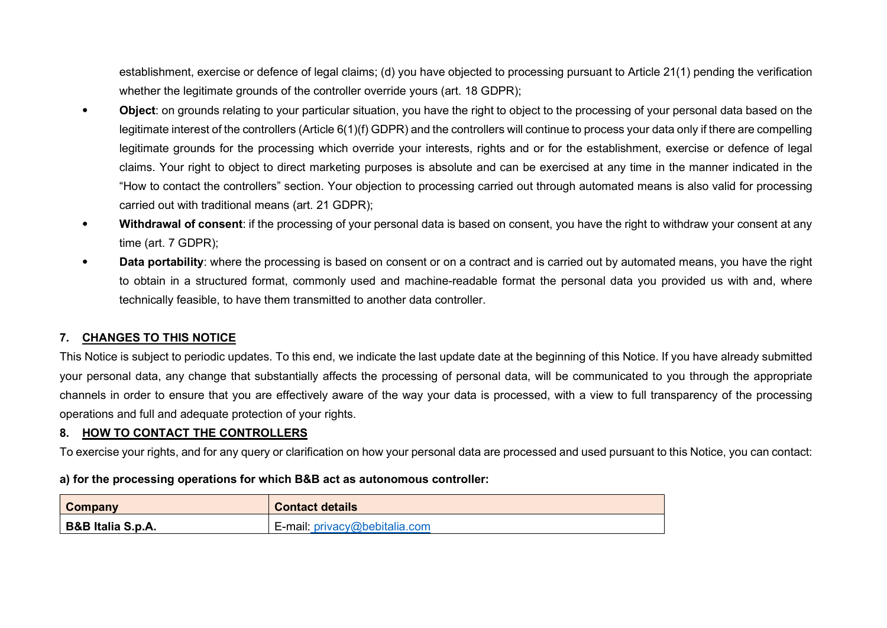establishment, exercise or defence of legal claims; (d) you have objected to processing pursuant to Article 21(1) pending the verification whether the legitimate grounds of the controller override yours (art. 18 GDPR);

- Object: on grounds relating to your particular situation, you have the right to object to the processing of your personal data based on the legitimate interest of the controllers (Article 6(1)(f) GDPR) and the controllers will continue to process your data only if there are compelling legitimate grounds for the processing which override your interests, rights and or for the establishment, exercise or defence of legal claims. Your right to object to direct marketing purposes is absolute and can be exercised at any time in the manner indicated in the "How to contact the controllers" section. Your objection to processing carried out through automated means is also valid for processing carried out with traditional means (art. 21 GDPR);
- Withdrawal of consent: if the processing of your personal data is based on consent, you have the right to withdraw your consent at any time (art. 7 GDPR);
- Data portability: where the processing is based on consent or on a contract and is carried out by automated means, you have the right to obtain in a structured format, commonly used and machine-readable format the personal data you provided us with and, where technically feasible, to have them transmitted to another data controller.

## 7. CHANGES TO THIS NOTICE

This Notice is subject to periodic updates. To this end, we indicate the last update date at the beginning of this Notice. If you have already submitted your personal data, any change that substantially affects the processing of personal data, will be communicated to you through the appropriate channels in order to ensure that you are effectively aware of the way your data is processed, with a view to full transparency of the processing operations and full and adequate protection of your rights.

## 8. HOW TO CONTACT THE CONTROLLERS

To exercise your rights, and for any query or clarification on how your personal data are processed and used pursuant to this Notice, you can contact:

#### a) for the processing operations for which B&B act as autonomous controller:

| Company           | <b>Contact details</b>        |
|-------------------|-------------------------------|
| B&B Italia S.p.A. | E-mail: privacy@bebitalia.com |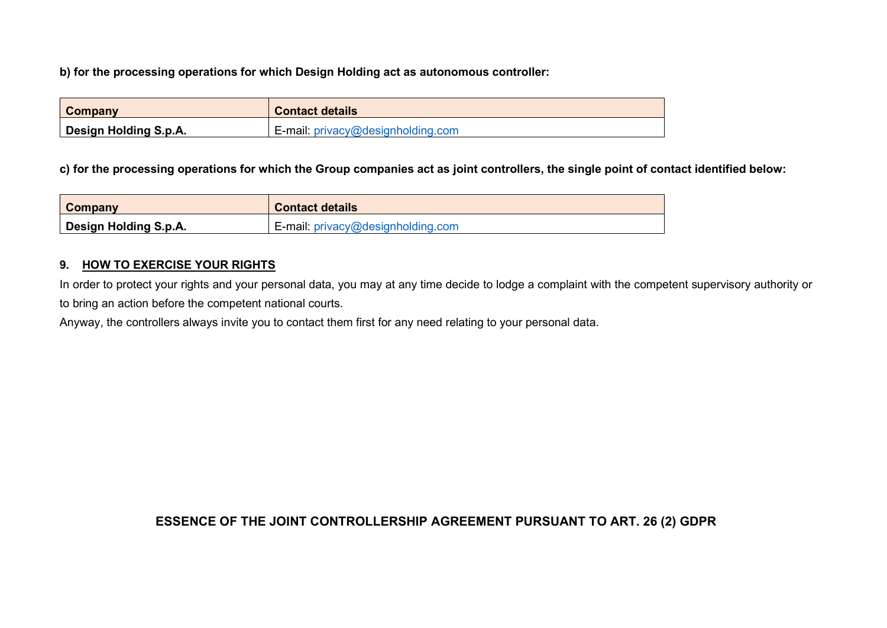b) for the processing operations for which Design Holding act as autonomous controller:

| Company                      | <b>Contact details</b>            |
|------------------------------|-----------------------------------|
| <b>Design Holding S.p.A.</b> | E-mail: privacy@designholding.com |

c) for the processing operations for which the Group companies act as joint controllers, the single point of contact identified below:

| Company               | <b>Contact details</b>                      |
|-----------------------|---------------------------------------------|
| Design Holding S.p.A. | E-mail: $\text{privacy}$ @designholding.com |

## 9. HOW TO EXERCISE YOUR RIGHTS

In order to protect your rights and your personal data, you may at any time decide to lodge a complaint with the competent supervisory authority or to bring an action before the competent national courts.

Anyway, the controllers always invite you to contact them first for any need relating to your personal data.

## ESSENCE OF THE JOINT CONTROLLERSHIP AGREEMENT PURSUANT TO ART. 26 (2) GDPR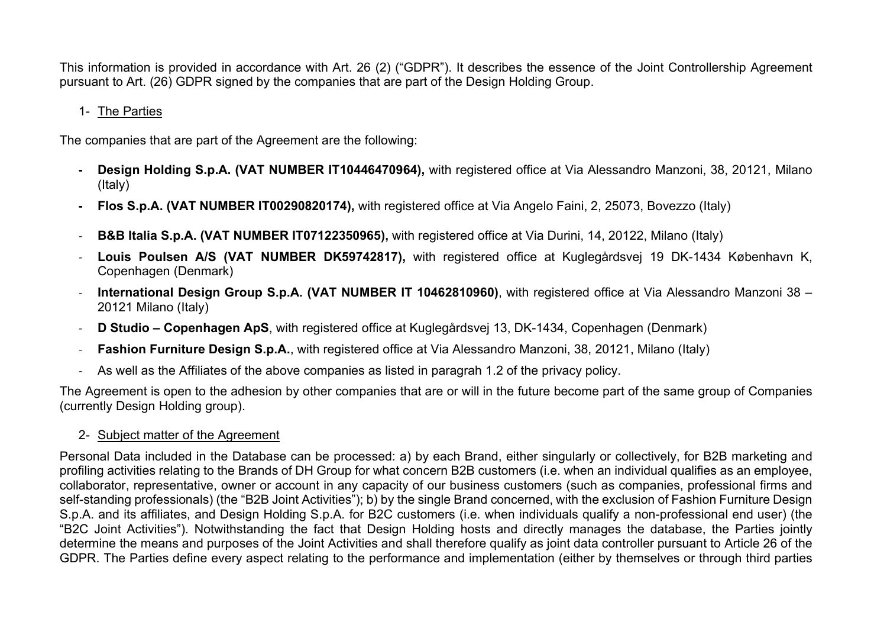This information is provided in accordance with Art. 26 (2) ("GDPR"). It describes the essence of the Joint Controllership Agreement pursuant to Art. (26) GDPR signed by the companies that are part of the Design Holding Group.

## 1- The Parties

The companies that are part of the Agreement are the following:

- Design Holding S.p.A. (VAT NUMBER IT10446470964), with registered office at Via Alessandro Manzoni, 38, 20121, Milano (Italy)
- Flos S.p.A. (VAT NUMBER IT00290820174), with registered office at Via Angelo Faini, 2, 25073, Bovezzo (Italy)
- **B&B Italia S.p.A. (VAT NUMBER IT07122350965),** with registered office at Via Durini, 14, 20122, Milano (Italy)
- Louis Poulsen A/S (VAT NUMBER DK59742817), with registered office at Kuglegårdsvej 19 DK-1434 København K, Copenhagen (Denmark)
- International Design Group S.p.A. (VAT NUMBER IT 10462810960), with registered office at Via Alessandro Manzoni 38 20121 Milano (Italy)
- D Studio Copenhagen ApS, with registered office at Kuglegårdsvej 13, DK-1434, Copenhagen (Denmark)
- Fashion Furniture Design S.p.A., with registered office at Via Alessandro Manzoni, 38, 20121, Milano (Italy)
- As well as the Affiliates of the above companies as listed in paragrah 1.2 of the privacy policy.

The Agreement is open to the adhesion by other companies that are or will in the future become part of the same group of Companies (currently Design Holding group).

2- Subject matter of the Agreement

Personal Data included in the Database can be processed: a) by each Brand, either singularly or collectively, for B2B marketing and profiling activities relating to the Brands of DH Group for what concern B2B customers (i.e. when an individual qualifies as an employee, collaborator, representative, owner or account in any capacity of our business customers (such as companies, professional firms and self-standing professionals) (the "B2B Joint Activities"); b) by the single Brand concerned, with the exclusion of Fashion Furniture Design S.p.A. and its affiliates, and Design Holding S.p.A. for B2C customers (i.e. when individuals qualify a non-professional end user) (the "B2C Joint Activities"). Notwithstanding the fact that Design Holding hosts and directly manages the database, the Parties jointly determine the means and purposes of the Joint Activities and shall therefore qualify as joint data controller pursuant to Article 26 of the GDPR. The Parties define every aspect relating to the performance and implementation (either by themselves or through third parties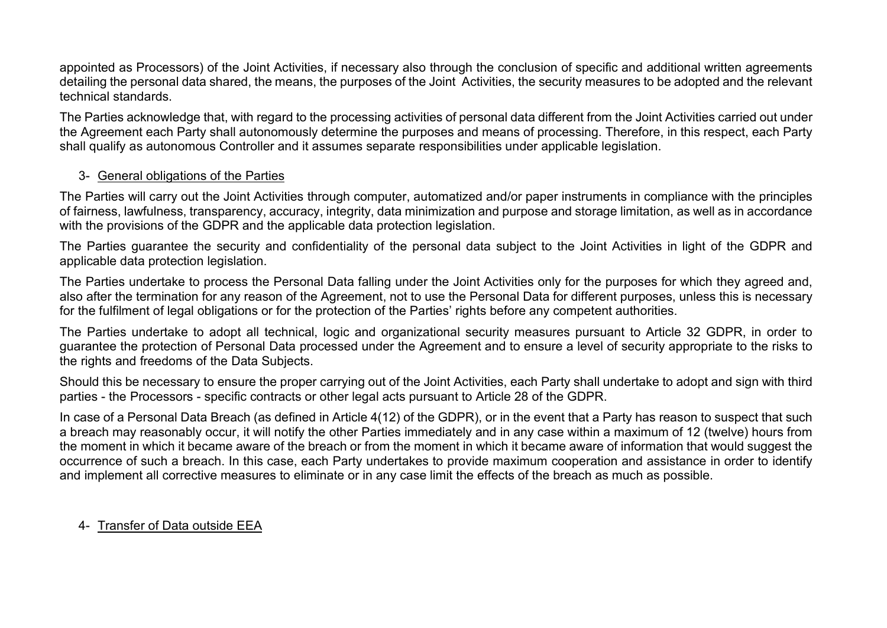appointed as Processors) of the Joint Activities, if necessary also through the conclusion of specific and additional written agreements detailing the personal data shared, the means, the purposes of the Joint Activities, the security measures to be adopted and the relevant technical standards.

The Parties acknowledge that, with regard to the processing activities of personal data different from the Joint Activities carried out under the Agreement each Party shall autonomously determine the purposes and means of processing. Therefore, in this respect, each Party shall qualify as autonomous Controller and it assumes separate responsibilities under applicable legislation.

## 3- General obligations of the Parties

The Parties will carry out the Joint Activities through computer, automatized and/or paper instruments in compliance with the principles of fairness, lawfulness, transparency, accuracy, integrity, data minimization and purpose and storage limitation, as well as in accordance with the provisions of the GDPR and the applicable data protection legislation.

The Parties guarantee the security and confidentiality of the personal data subject to the Joint Activities in light of the GDPR and applicable data protection legislation.

The Parties undertake to process the Personal Data falling under the Joint Activities only for the purposes for which they agreed and, also after the termination for any reason of the Agreement, not to use the Personal Data for different purposes, unless this is necessary for the fulfilment of legal obligations or for the protection of the Parties' rights before any competent authorities.

The Parties undertake to adopt all technical, logic and organizational security measures pursuant to Article 32 GDPR, in order to guarantee the protection of Personal Data processed under the Agreement and to ensure a level of security appropriate to the risks to the rights and freedoms of the Data Subjects.

Should this be necessary to ensure the proper carrying out of the Joint Activities, each Party shall undertake to adopt and sign with third parties - the Processors - specific contracts or other legal acts pursuant to Article 28 of the GDPR.

In case of a Personal Data Breach (as defined in Article 4(12) of the GDPR), or in the event that a Party has reason to suspect that such a breach may reasonably occur, it will notify the other Parties immediately and in any case within a maximum of 12 (twelve) hours from the moment in which it became aware of the breach or from the moment in which it became aware of information that would suggest the occurrence of such a breach. In this case, each Party undertakes to provide maximum cooperation and assistance in order to identify and implement all corrective measures to eliminate or in any case limit the effects of the breach as much as possible.

## 4- Transfer of Data outside EEA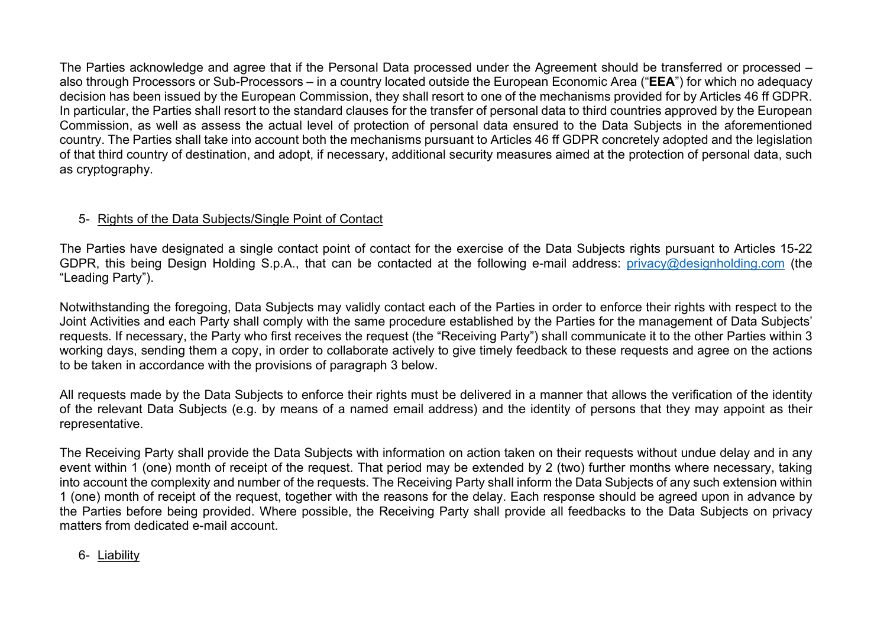The Parties acknowledge and agree that if the Personal Data processed under the Agreement should be transferred or processed – also through Processors or Sub-Processors – in a country located outside the European Economic Area ("EEA") for which no adequacy decision has been issued by the European Commission, they shall resort to one of the mechanisms provided for by Articles 46 ff GDPR. In particular, the Parties shall resort to the standard clauses for the transfer of personal data to third countries approved by the European Commission, as well as assess the actual level of protection of personal data ensured to the Data Subjects in the aforementioned country. The Parties shall take into account both the mechanisms pursuant to Articles 46 ff GDPR concretely adopted and the legislation of that third country of destination, and adopt, if necessary, additional security measures aimed at the protection of personal data, such as cryptography.

## 5- Rights of the Data Subjects/Single Point of Contact

The Parties have designated a single contact point of contact for the exercise of the Data Subjects rights pursuant to Articles 15-22 GDPR, this being Design Holding S.p.A., that can be contacted at the following e-mail address: privacy@designholding.com (the "Leading Party").

Notwithstanding the foregoing, Data Subjects may validly contact each of the Parties in order to enforce their rights with respect to the Joint Activities and each Party shall comply with the same procedure established by the Parties for the management of Data Subjects' requests. If necessary, the Party who first receives the request (the "Receiving Party") shall communicate it to the other Parties within 3 working days, sending them a copy, in order to collaborate actively to give timely feedback to these requests and agree on the actions to be taken in accordance with the provisions of paragraph 3 below.

All requests made by the Data Subjects to enforce their rights must be delivered in a manner that allows the verification of the identity of the relevant Data Subjects (e.g. by means of a named email address) and the identity of persons that they may appoint as their representative.

The Receiving Party shall provide the Data Subjects with information on action taken on their requests without undue delay and in any event within 1 (one) month of receipt of the request. That period may be extended by 2 (two) further months where necessary, taking into account the complexity and number of the requests. The Receiving Party shall inform the Data Subjects of any such extension within 1 (one) month of receipt of the request, together with the reasons for the delay. Each response should be agreed upon in advance by the Parties before being provided. Where possible, the Receiving Party shall provide all feedbacks to the Data Subjects on privacy matters from dedicated e-mail account.

6- Liability